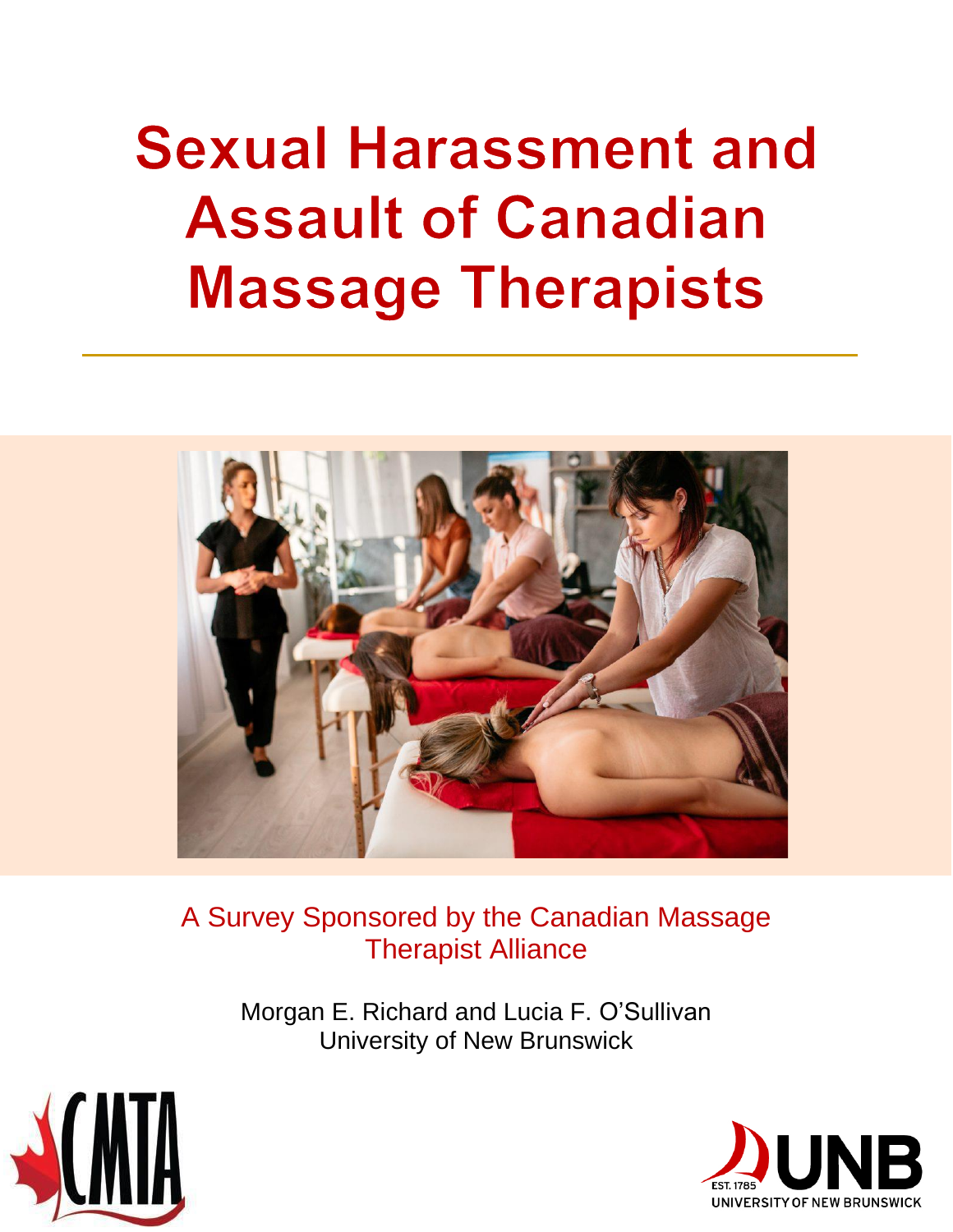# **Sexual Harassment and Assault of Canadian Massage Therapists**



A Survey Sponsored by the Canadian Massage Therapist Alliance

> Morgan E. Richard and Lucia F. O'Sullivan University of New Brunswick



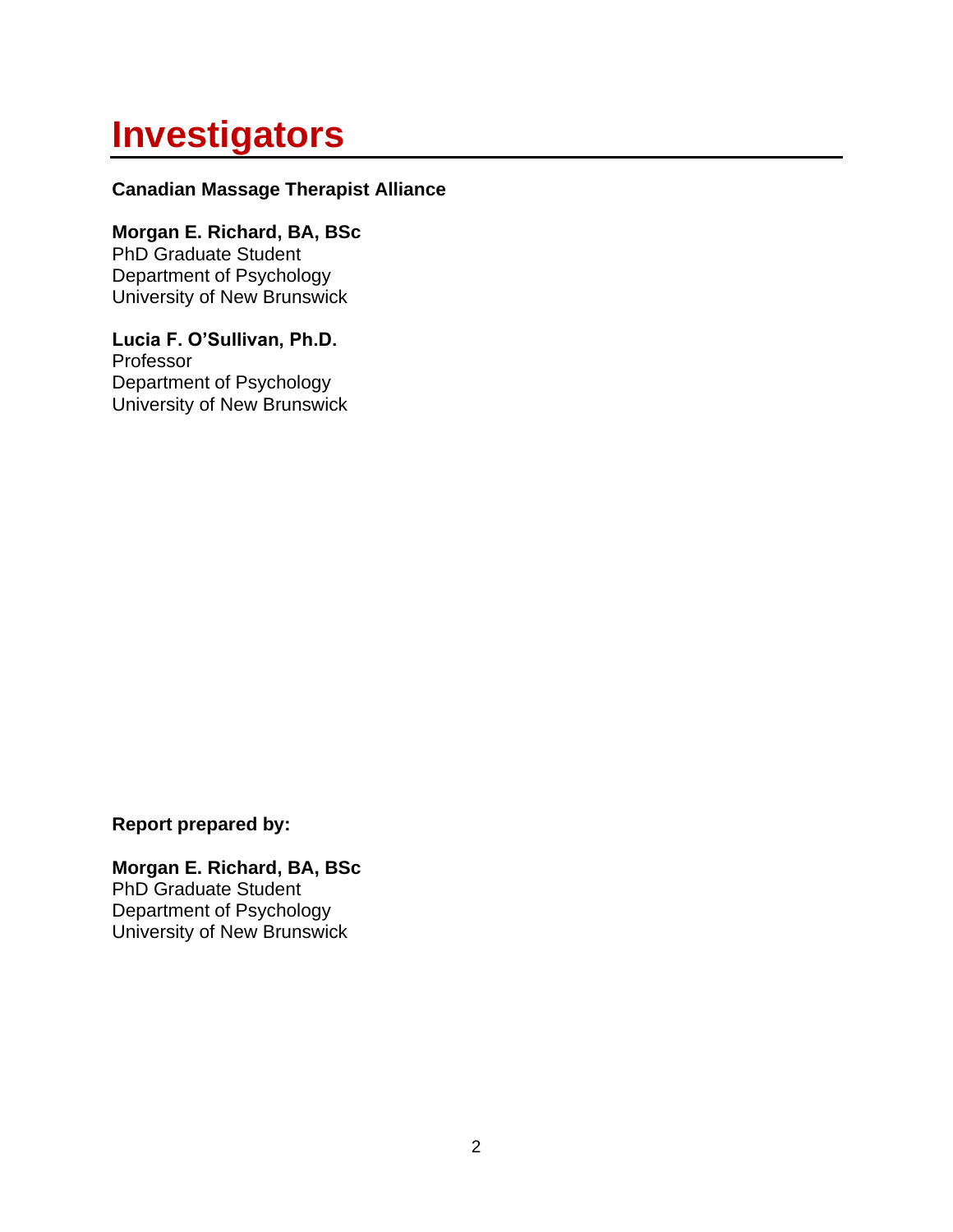## **Investigators**

#### **Canadian Massage Therapist Alliance**

**Morgan E. Richard, BA, BSc** PhD Graduate Student Department of Psychology University of New Brunswick

**Lucia F. O'Sullivan, Ph.D.** Professor Department of Psychology University of New Brunswick

**Report prepared by:**

**Morgan E. Richard, BA, BSc** PhD Graduate Student Department of Psychology University of New Brunswick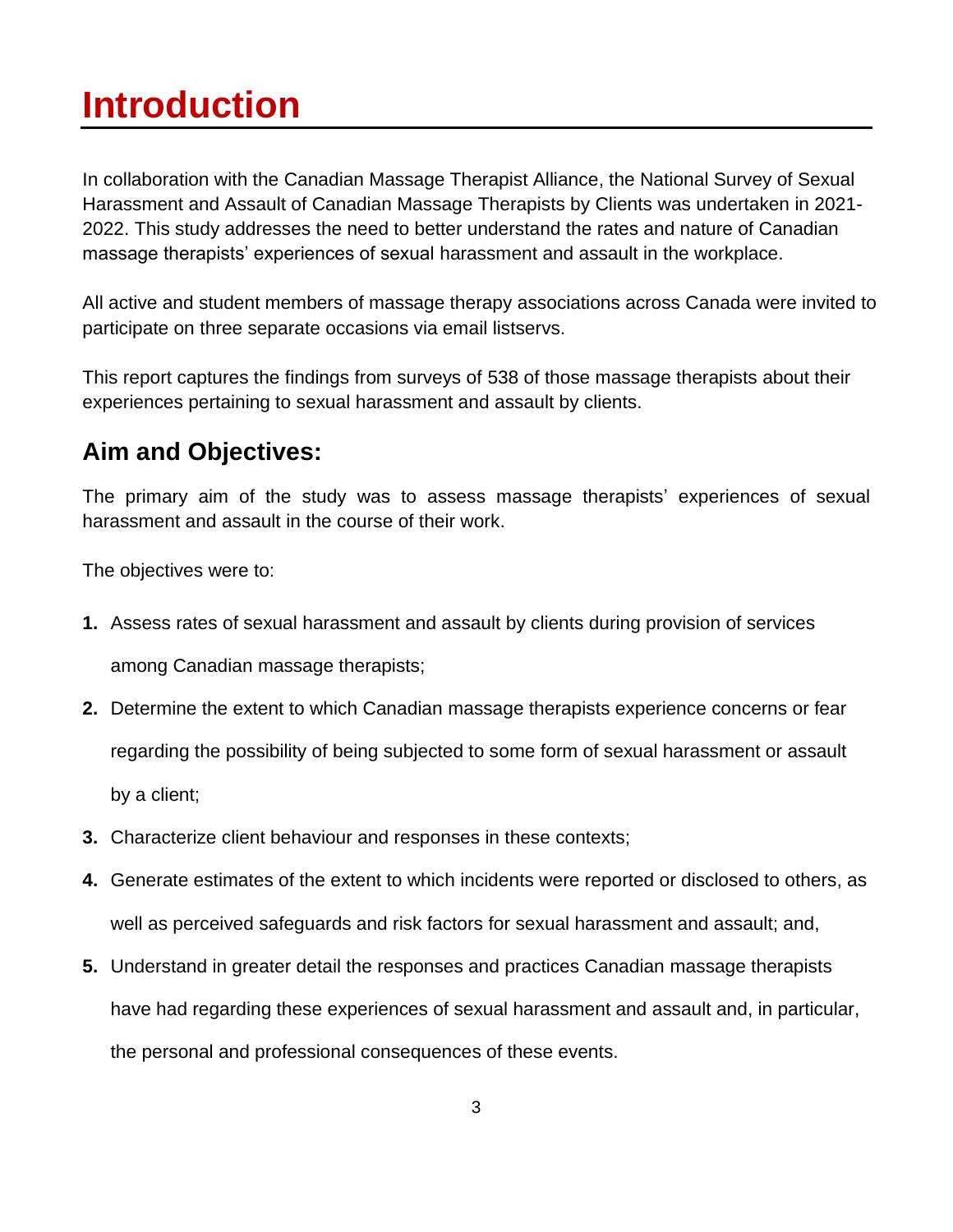## **Introduction**

In collaboration with the Canadian Massage Therapist Alliance, the National Survey of Sexual Harassment and Assault of Canadian Massage Therapists by Clients was undertaken in 2021- 2022. This study addresses the need to better understand the rates and nature of Canadian massage therapists' experiences of sexual harassment and assault in the workplace.

All active and student members of massage therapy associations across Canada were invited to participate on three separate occasions via email listservs.

This report captures the findings from surveys of 538 of those massage therapists about their experiences pertaining to sexual harassment and assault by clients.

#### **Aim and Objectives:**

The primary aim of the study was to assess massage therapists' experiences of sexual harassment and assault in the course of their work.

The objectives were to:

- **1.** Assess rates of sexual harassment and assault by clients during provision of services among Canadian massage therapists;
- **2.** Determine the extent to which Canadian massage therapists experience concerns or fear regarding the possibility of being subjected to some form of sexual harassment or assault by a client;
- **3.** Characterize client behaviour and responses in these contexts;
- **4.** Generate estimates of the extent to which incidents were reported or disclosed to others, as well as perceived safeguards and risk factors for sexual harassment and assault; and,
- **5.** Understand in greater detail the responses and practices Canadian massage therapists have had regarding these experiences of sexual harassment and assault and, in particular, the personal and professional consequences of these events.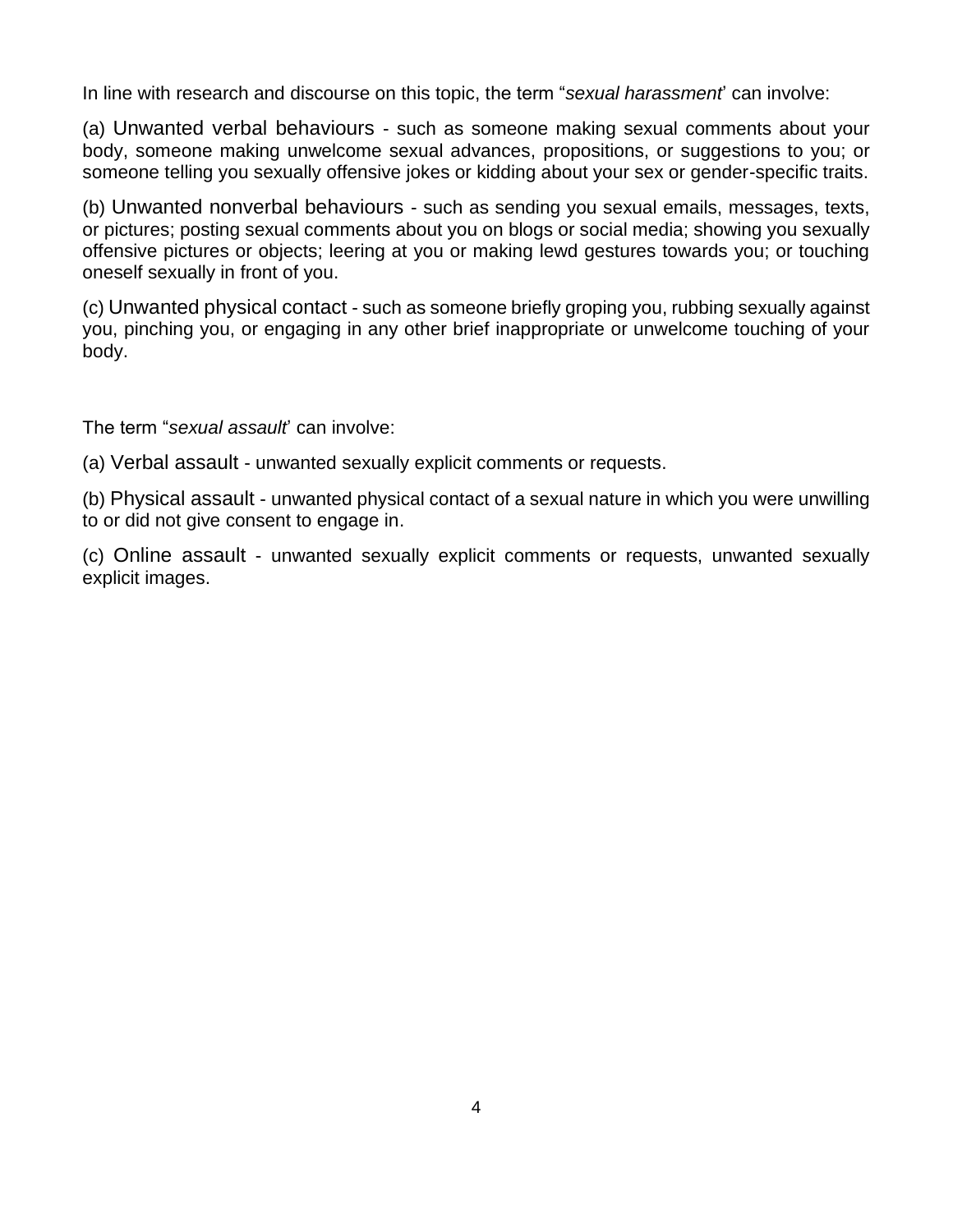In line with research and discourse on this topic, the term "*sexual harassment*' can involve:

(a) Unwanted verbal behaviours - such as someone making sexual comments about your body, someone making unwelcome sexual advances, propositions, or suggestions to you; or someone telling you sexually offensive jokes or kidding about your sex or gender-specific traits.

(b) Unwanted nonverbal behaviours - such as sending you sexual emails, messages, texts, or pictures; posting sexual comments about you on blogs or social media; showing you sexually offensive pictures or objects; leering at you or making lewd gestures towards you; or touching oneself sexually in front of you.

(c) Unwanted physical contact - such as someone briefly groping you, rubbing sexually against you, pinching you, or engaging in any other brief inappropriate or unwelcome touching of your body.

The term "*sexual assault*' can involve:

(a) Verbal assault - unwanted sexually explicit comments or requests.

(b) Physical assault - unwanted physical contact of a sexual nature in which you were unwilling to or did not give consent to engage in.

(c) Online assault - unwanted sexually explicit comments or requests, unwanted sexually explicit images.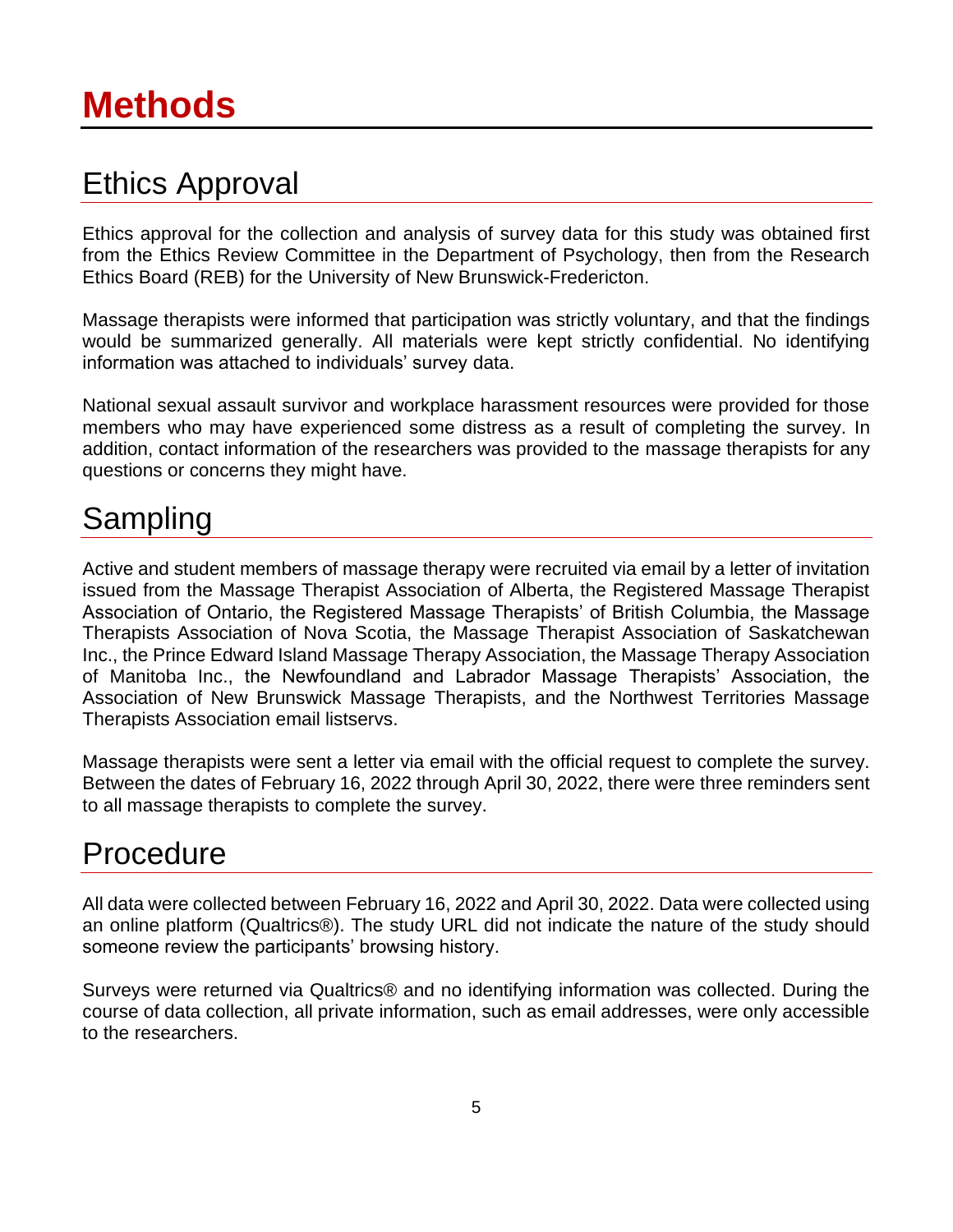## Ethics Approval

Ethics approval for the collection and analysis of survey data for this study was obtained first from the Ethics Review Committee in the Department of Psychology, then from the Research Ethics Board (REB) for the University of New Brunswick-Fredericton.

Massage therapists were informed that participation was strictly voluntary, and that the findings would be summarized generally. All materials were kept strictly confidential. No identifying information was attached to individuals' survey data.

National sexual assault survivor and workplace harassment resources were provided for those members who may have experienced some distress as a result of completing the survey. In addition, contact information of the researchers was provided to the massage therapists for any questions or concerns they might have.

## Sampling

Active and student members of massage therapy were recruited via email by a letter of invitation issued from the Massage Therapist Association of Alberta, the Registered Massage Therapist Association of Ontario, the Registered Massage Therapists' of British Columbia, the Massage Therapists Association of Nova Scotia, the Massage Therapist Association of Saskatchewan Inc., the Prince Edward Island Massage Therapy Association, the Massage Therapy Association of Manitoba Inc., the Newfoundland and Labrador Massage Therapists' Association, the Association of New Brunswick Massage Therapists, and the Northwest Territories Massage Therapists Association email listservs.

Massage therapists were sent a letter via email with the official request to complete the survey. Between the dates of February 16, 2022 through April 30, 2022, there were three reminders sent to all massage therapists to complete the survey.

## Procedure

All data were collected between February 16, 2022 and April 30, 2022. Data were collected using an online platform (Qualtrics®). The study URL did not indicate the nature of the study should someone review the participants' browsing history.

Surveys were returned via Qualtrics® and no identifying information was collected. During the course of data collection, all private information, such as email addresses, were only accessible to the researchers.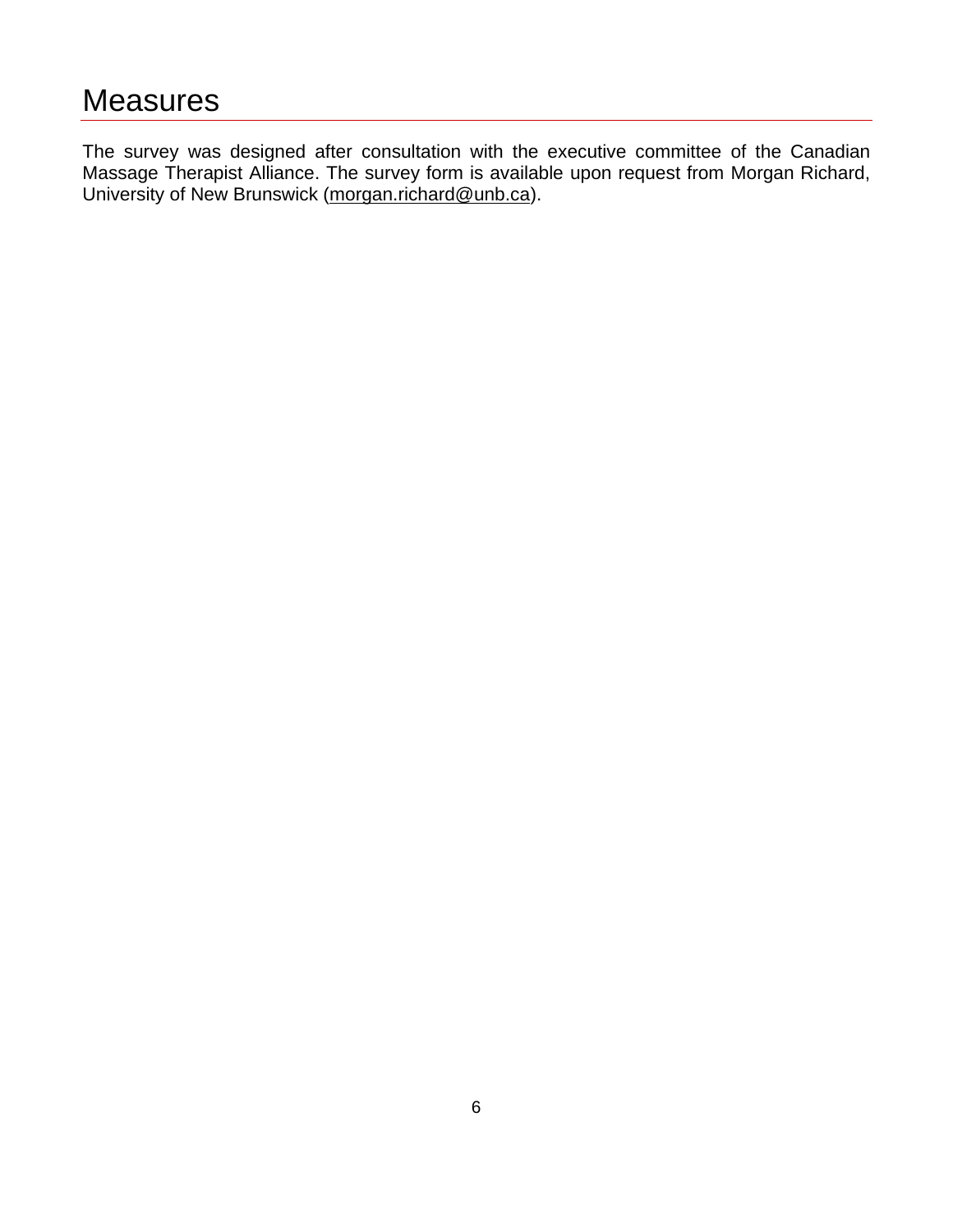The survey was designed after consultation with the executive committee of the Canadian Massage Therapist Alliance. The survey form is available upon request from Morgan Richard, University of New Brunswick [\(morgan.richard@unb.ca\)](mailto:morgan.richard@unb.ca).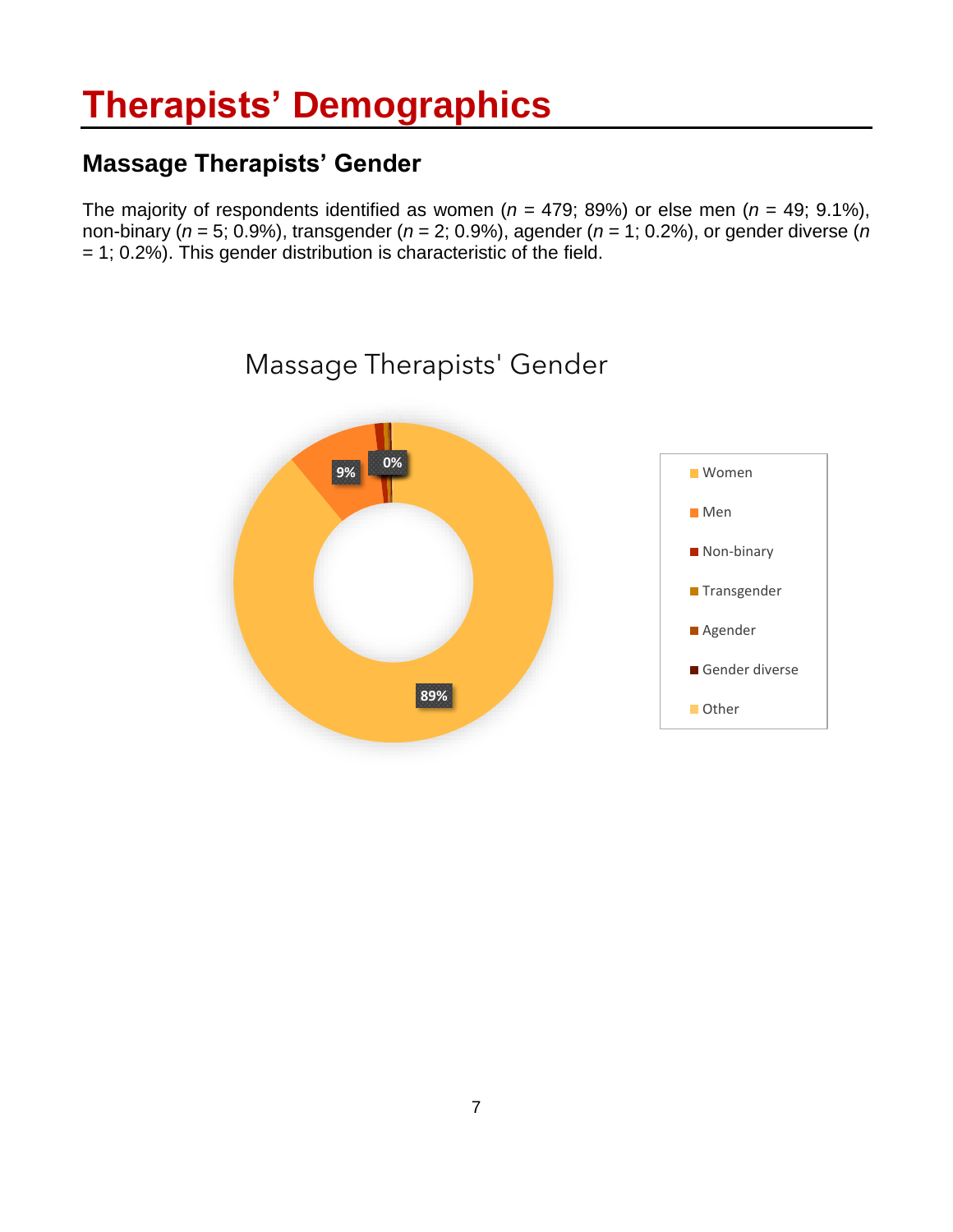## **Therapists' Demographics**

#### **Massage Therapists' Gender**

The majority of respondents identified as women ( $n = 479$ ; 89%) or else men ( $n = 49$ ; 9.1%), non-binary (*n* = 5; 0.9%), transgender (*n* = 2; 0.9%), agender (*n* = 1; 0.2%), or gender diverse (*n*  $= 1$ ; 0.2%). This gender distribution is characteristic of the field.

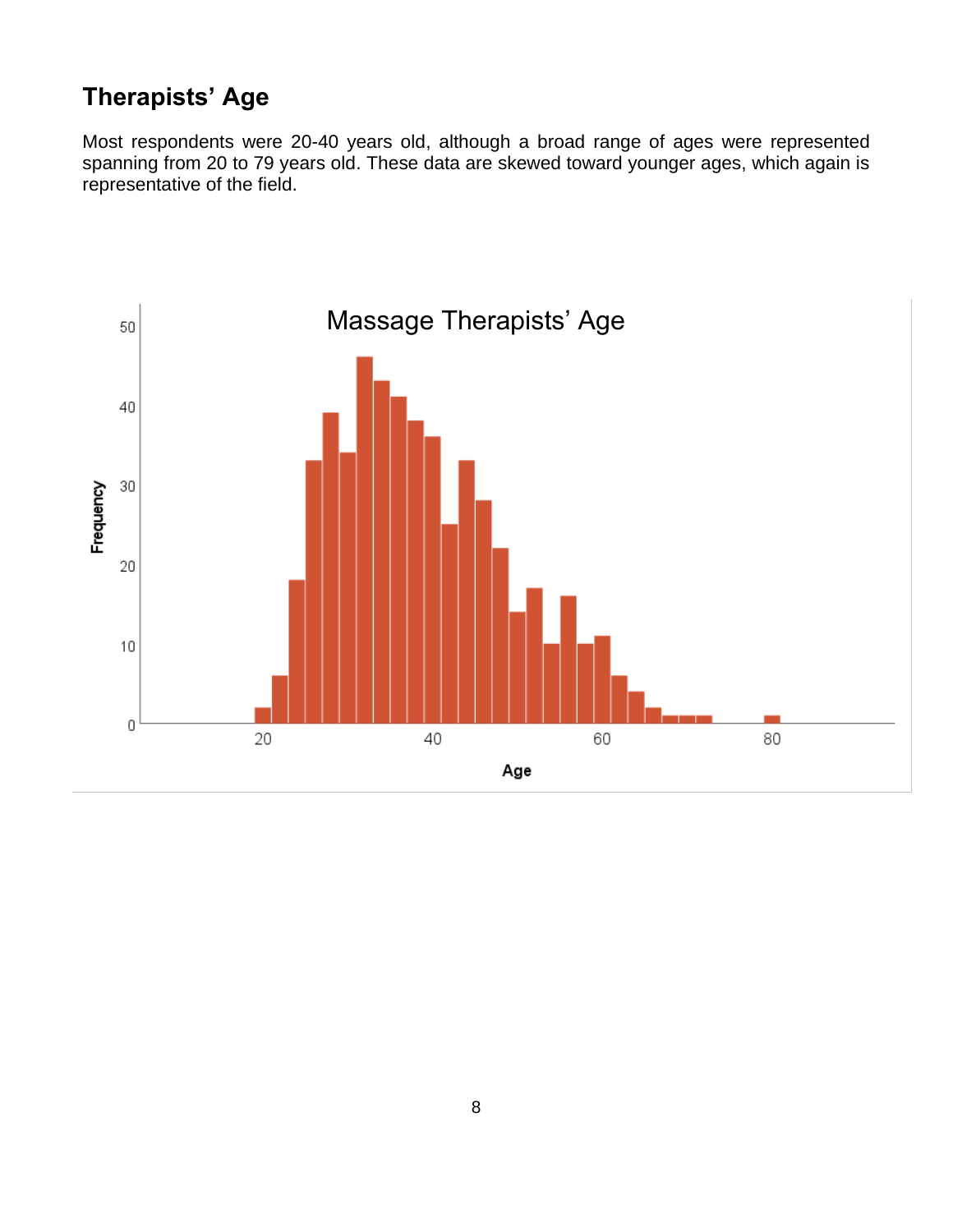#### **Therapists' Age**

Most respondents were 20-40 years old, although a broad range of ages were represented spanning from 20 to 79 years old. These data are skewed toward younger ages, which again is representative of the field.

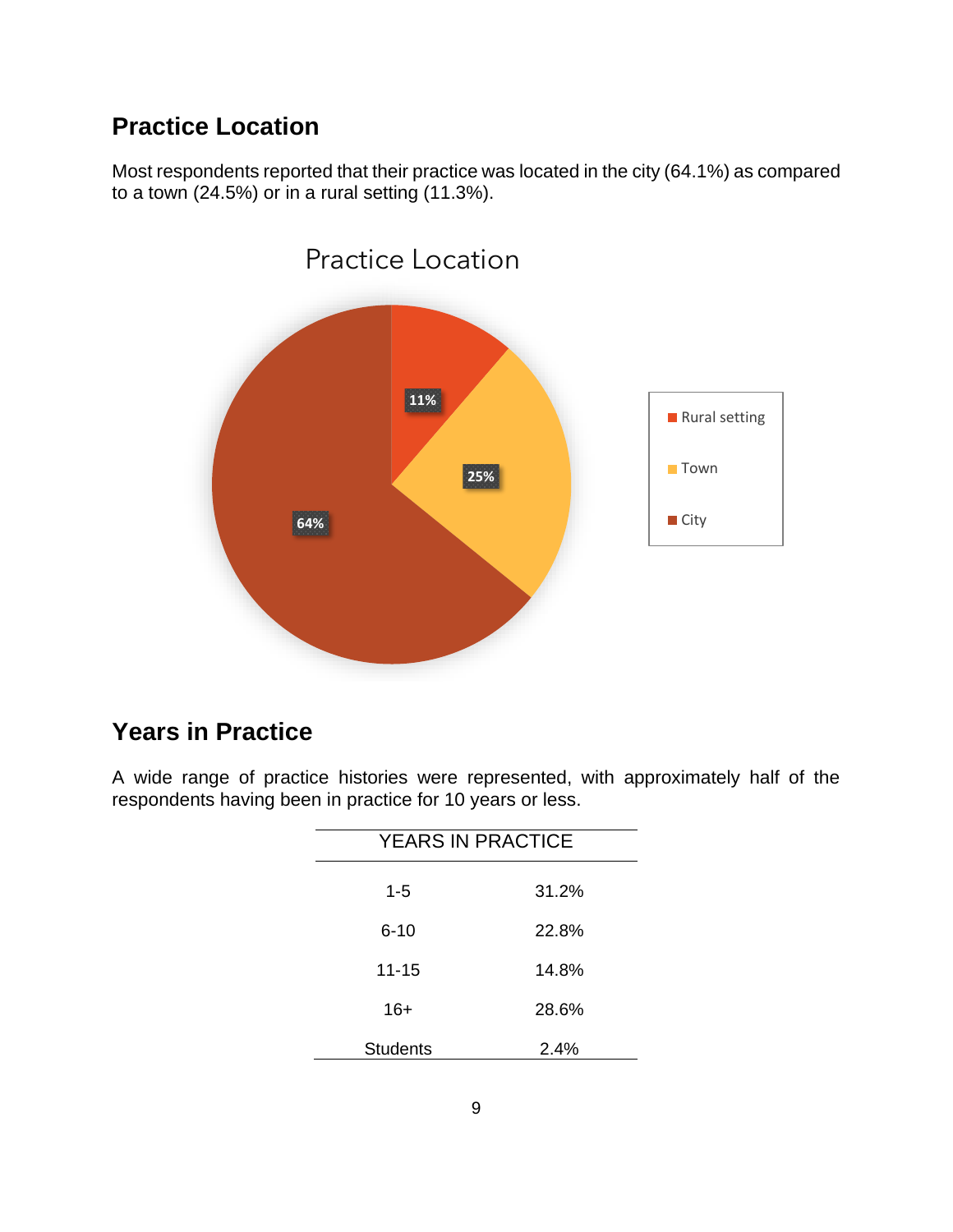#### **Practice Location**

Most respondents reported that their practice was located in the city (64.1%) as compared to a town (24.5%) or in a rural setting (11.3%).



#### **Years in Practice**

A wide range of practice histories were represented, with approximately half of the respondents having been in practice for 10 years or less.

| <b>YEARS IN PRACTICE</b> |         |  |
|--------------------------|---------|--|
| $1 - 5$                  | 31.2%   |  |
| $6 - 10$                 | 22.8%   |  |
| $11 - 15$                | 14.8%   |  |
| $16+$                    | 28.6%   |  |
| <b>Students</b>          | $2.4\%$ |  |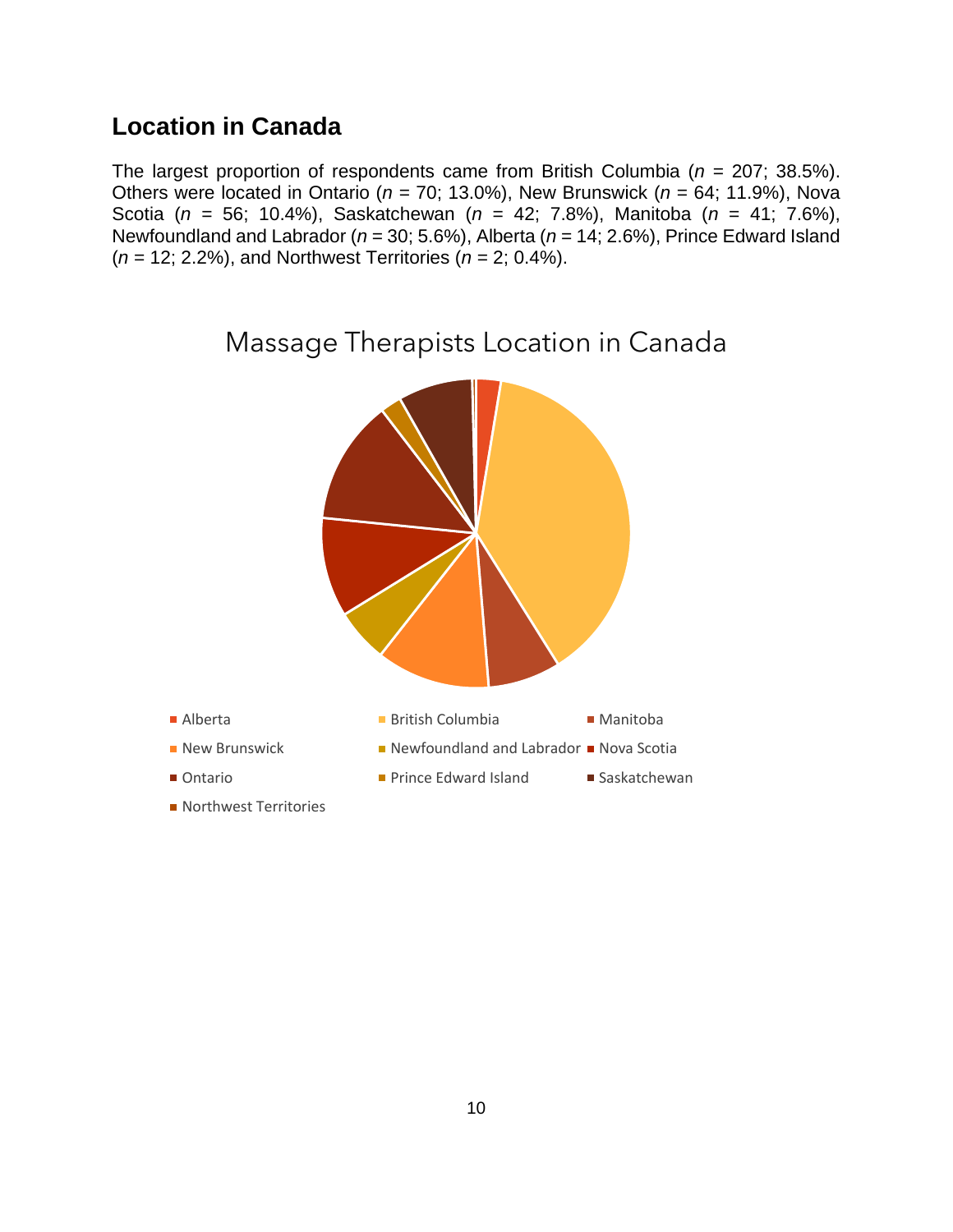#### **Location in Canada**

The largest proportion of respondents came from British Columbia (*n* = 207; 38.5%). Others were located in Ontario (*n* = 70; 13.0%), New Brunswick (*n* = 64; 11.9%), Nova Scotia (*n* = 56; 10.4%), Saskatchewan (*n* = 42; 7.8%), Manitoba (*n* = 41; 7.6%), Newfoundland and Labrador (*n* = 30; 5.6%), Alberta (*n* = 14; 2.6%), Prince Edward Island (*n* = 12; 2.2%), and Northwest Territories (*n* = 2; 0.4%).

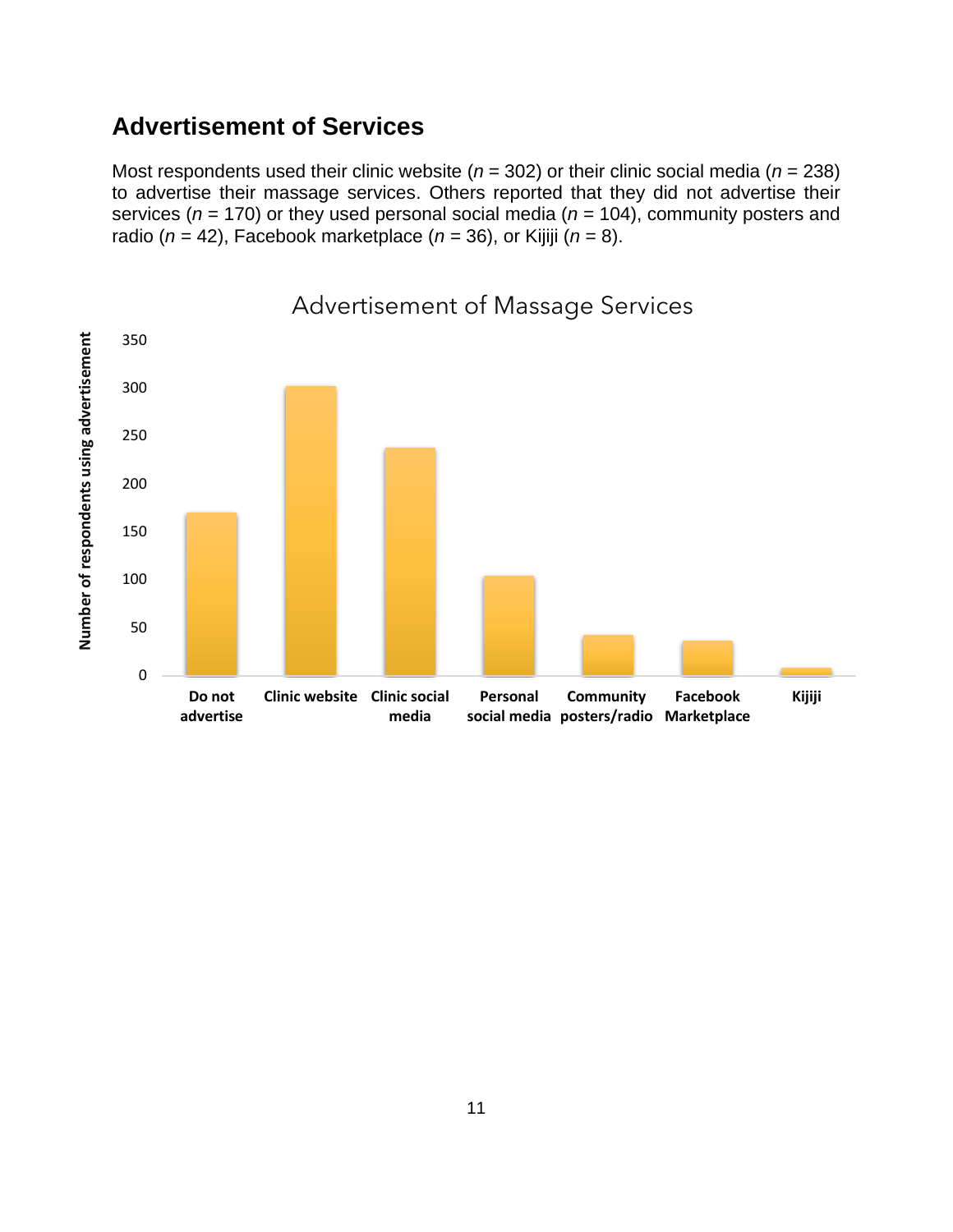#### **Advertisement of Services**

Most respondents used their clinic website (*n* = 302) or their clinic social media (*n* = 238) to advertise their massage services. Others reported that they did not advertise their services (*n* = 170) or they used personal social media (*n* = 104), community posters and radio (*n* = 42), Facebook marketplace (*n* = 36), or Kijiji (*n* = 8).

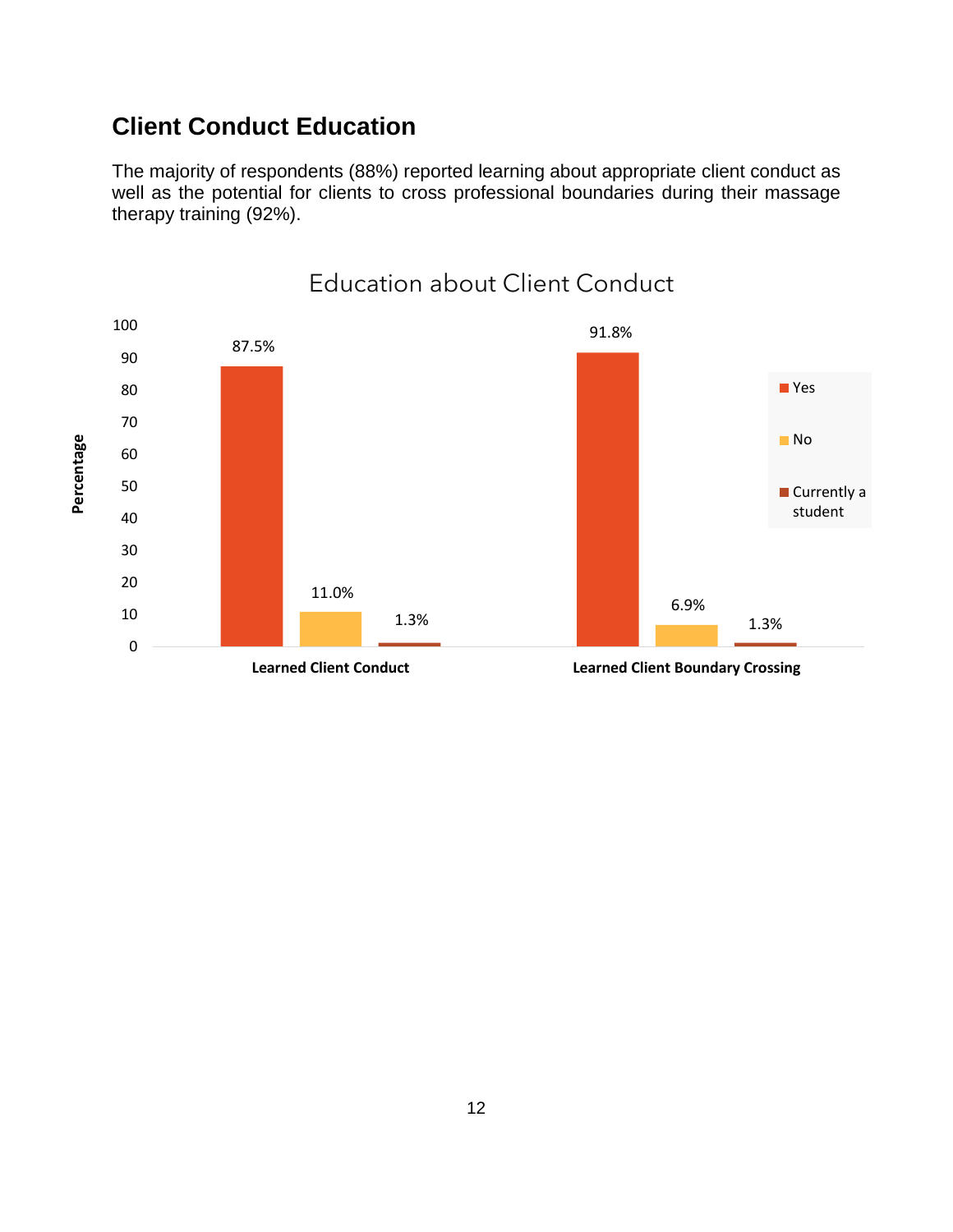#### **Client Conduct Education**

The majority of respondents (88%) reported learning about appropriate client conduct as well as the potential for clients to cross professional boundaries during their massage therapy training (92%).

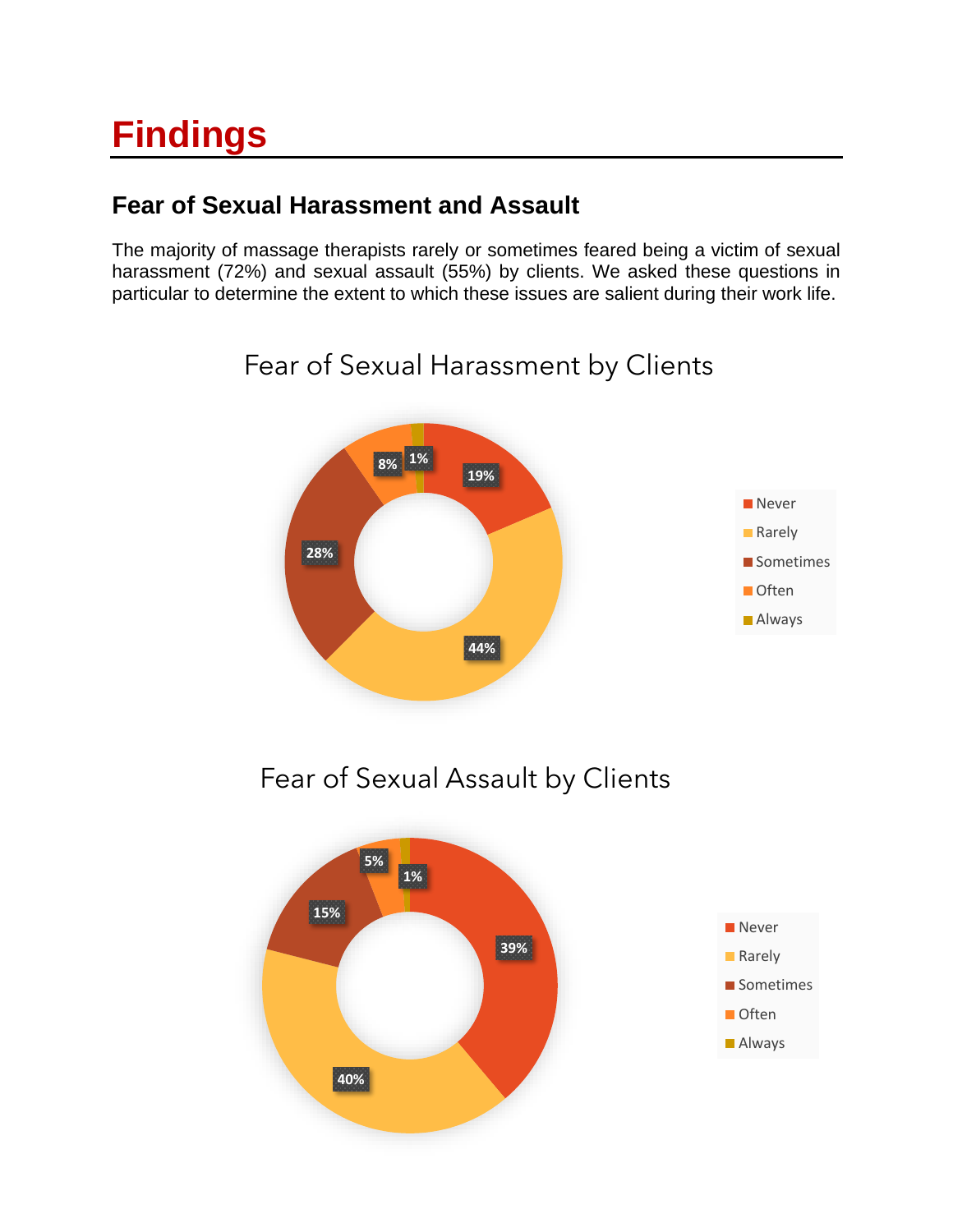## **Findings**

#### **Fear of Sexual Harassment and Assault**

The majority of massage therapists rarely or sometimes feared being a victim of sexual harassment (72%) and sexual assault (55%) by clients. We asked these questions in particular to determine the extent to which these issues are salient during their work life.

### **19% 44% 28% 8% 1% Never Rarely** Sometimes **Often Always**

## Fear of Sexual Harassment by Clients

Fear of Sexual Assault by Clients

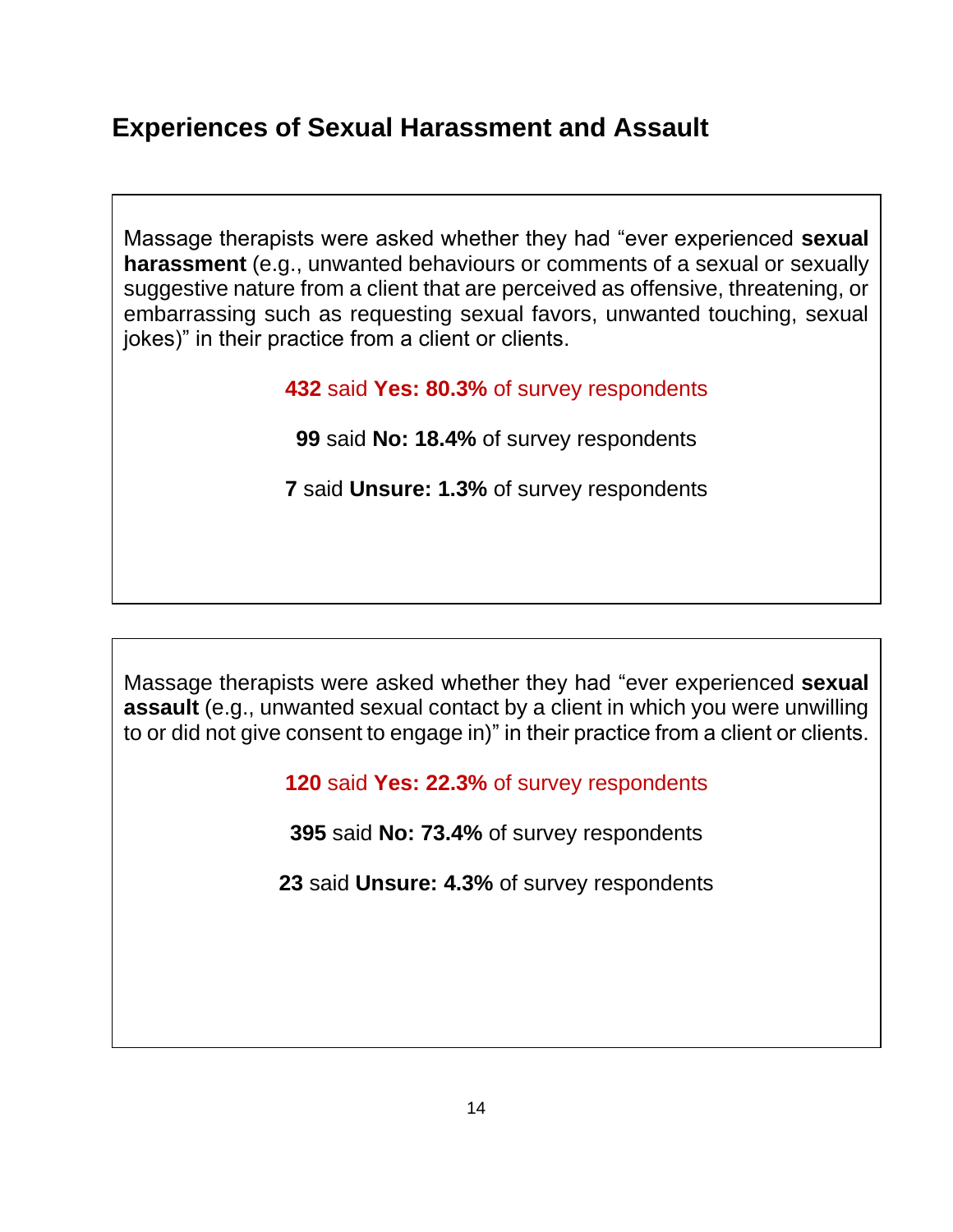#### **Experiences of Sexual Harassment and Assault**

Massage therapists were asked whether they had "ever experienced **sexual harassment** (e.g., unwanted behaviours or comments of a sexual or sexually suggestive nature from a client that are perceived as offensive, threatening, or embarrassing such as requesting sexual favors, unwanted touching, sexual jokes)" in their practice from a client or clients.

**432** said **Yes: 80.3%** of survey respondents

**99** said **No: 18.4%** of survey respondents

**7** said **Unsure: 1.3%** of survey respondents

Massage therapists were asked whether they had "ever experienced **sexual assault** (e.g., unwanted sexual contact by a client in which you were unwilling to or did not give consent to engage in)" in their practice from a client or clients.

**120** said **Yes: 22.3%** of survey respondents

**395** said **No: 73.4%** of survey respondents

**23** said **Unsure: 4.3%** of survey respondents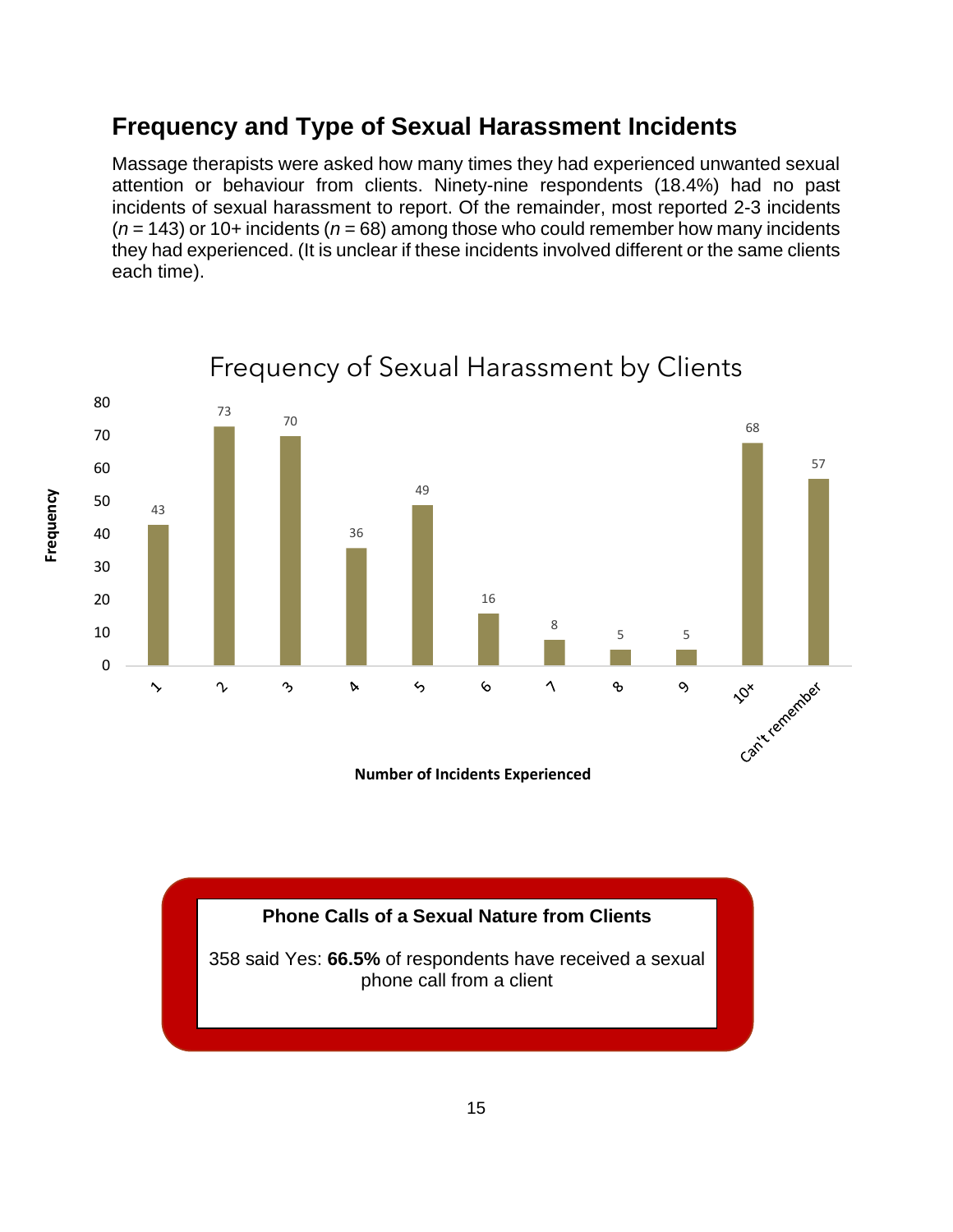#### **Frequency and Type of Sexual Harassment Incidents**

Massage therapists were asked how many times they had experienced unwanted sexual attention or behaviour from clients. Ninety-nine respondents (18.4%) had no past incidents of sexual harassment to report. Of the remainder, most reported 2-3 incidents (*n* = 143) or 10+ incidents (*n* = 68) among those who could remember how many incidents they had experienced. (It is unclear if these incidents involved different or the same clients each time).

#### 80 73 70 68 70 57 60 49 50 43 36 40 30 20 16 8 10 5 5 0 Cantrealement  $\ddot{\ }$  $\sim$  $\mathcal{P}_{\mathcal{D}}$  $\triangleright$ ら  $\circ$  $\Delta$ o,  $\circ$

**Frequency**

#### Frequency of Sexual Harassment by Clients

**Number of Incidents Experienced**

#### **Phone Calls of a Sexual Nature from Clients**

358 said Yes: **66.5%** of respondents have received a sexual phone call from a client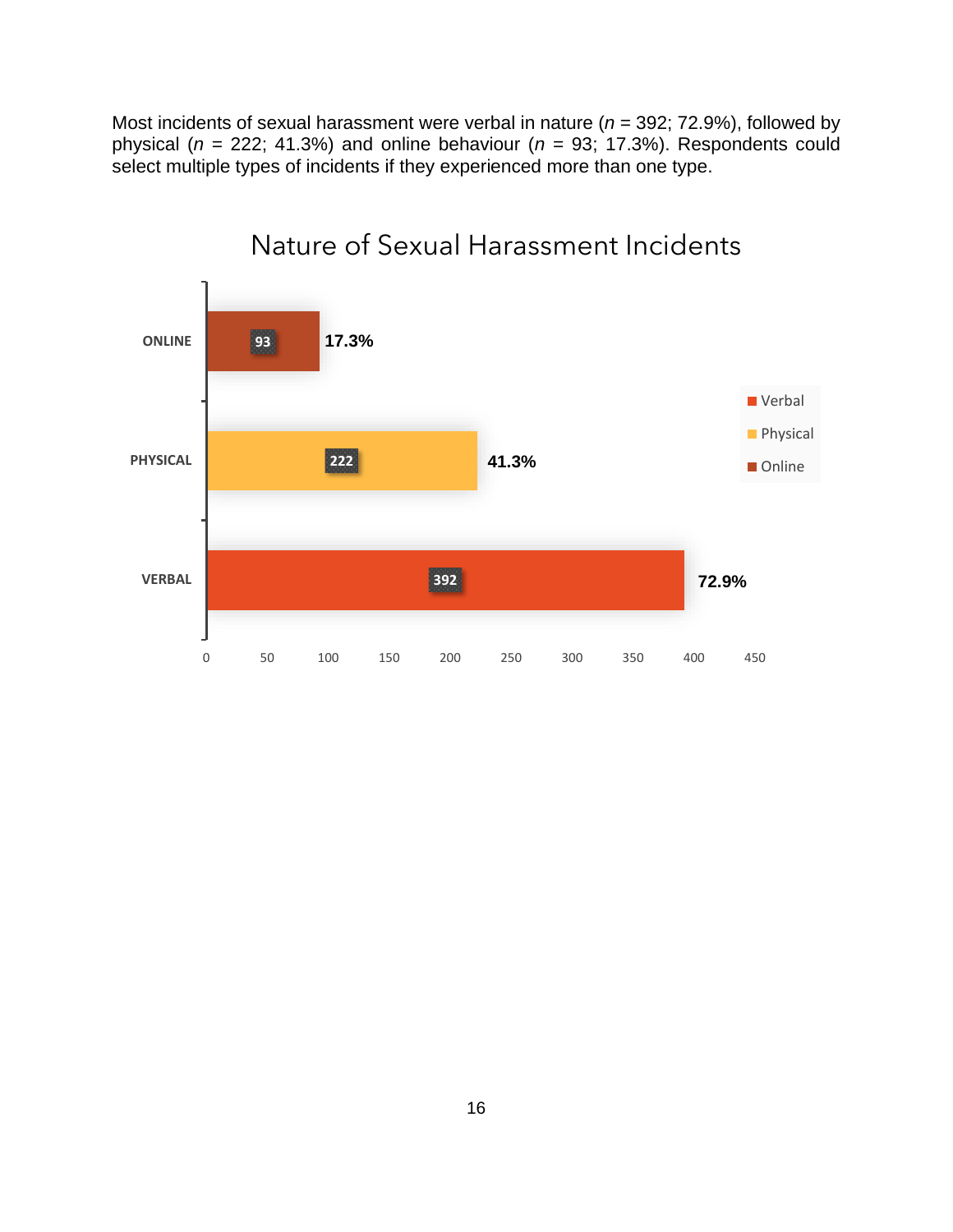Most incidents of sexual harassment were verbal in nature (*n* = 392; 72.9%), followed by physical (*n* = 222; 41.3%) and online behaviour (*n* = 93; 17.3%). Respondents could select multiple types of incidents if they experienced more than one type.



### Nature of Sexual Harassment Incidents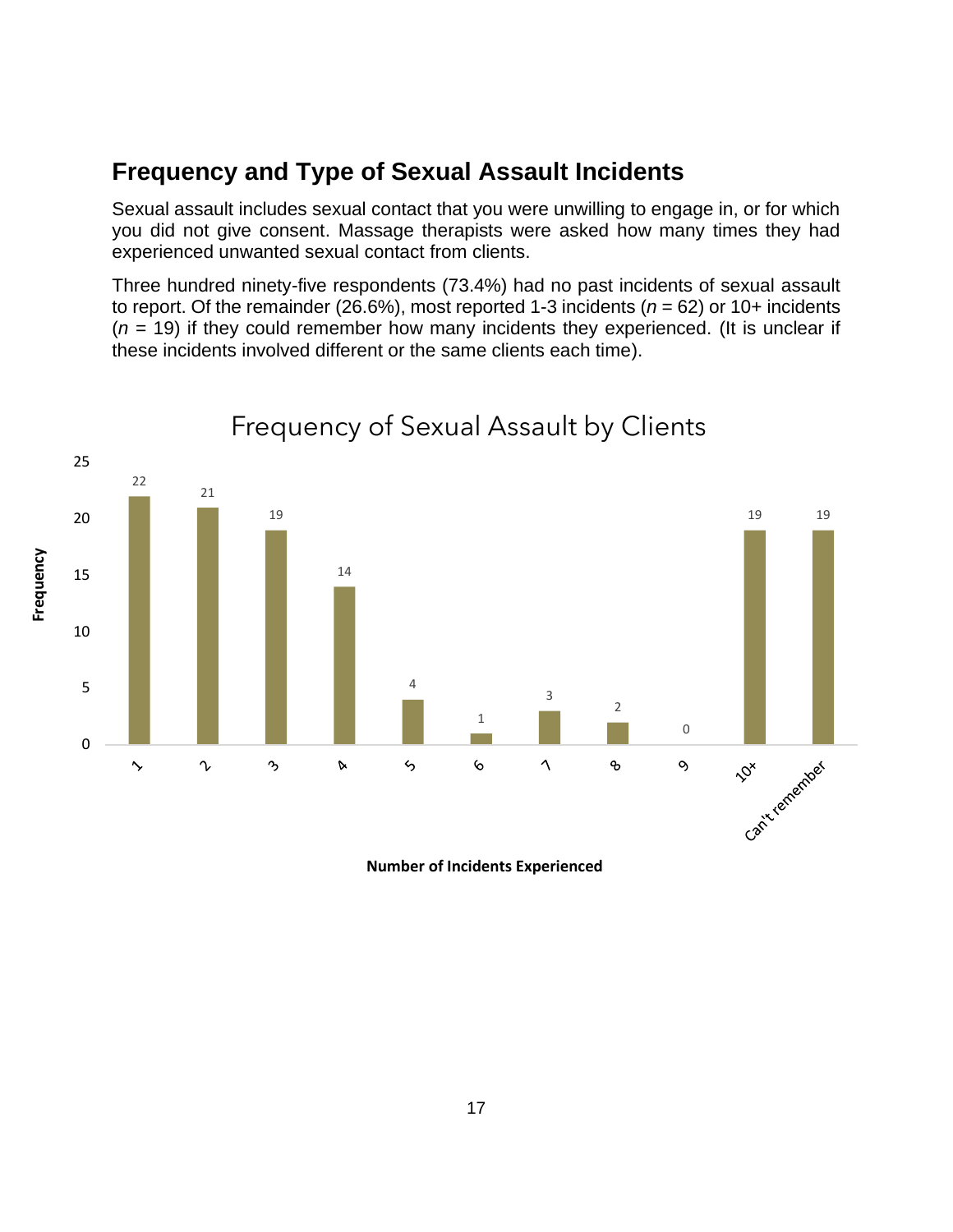#### **Frequency and Type of Sexual Assault Incidents**

Sexual assault includes sexual contact that you were unwilling to engage in, or for which you did not give consent. Massage therapists were asked how many times they had experienced unwanted sexual contact from clients.

Three hundred ninety-five respondents (73.4%) had no past incidents of sexual assault to report. Of the remainder (26.6%), most reported 1-3 incidents (*n* = 62) or 10+ incidents (*n* = 19) if they could remember how many incidents they experienced. (It is unclear if these incidents involved different or the same clients each time).



Frequency of Sexual Assault by Clients

**Number of Incidents Experienced**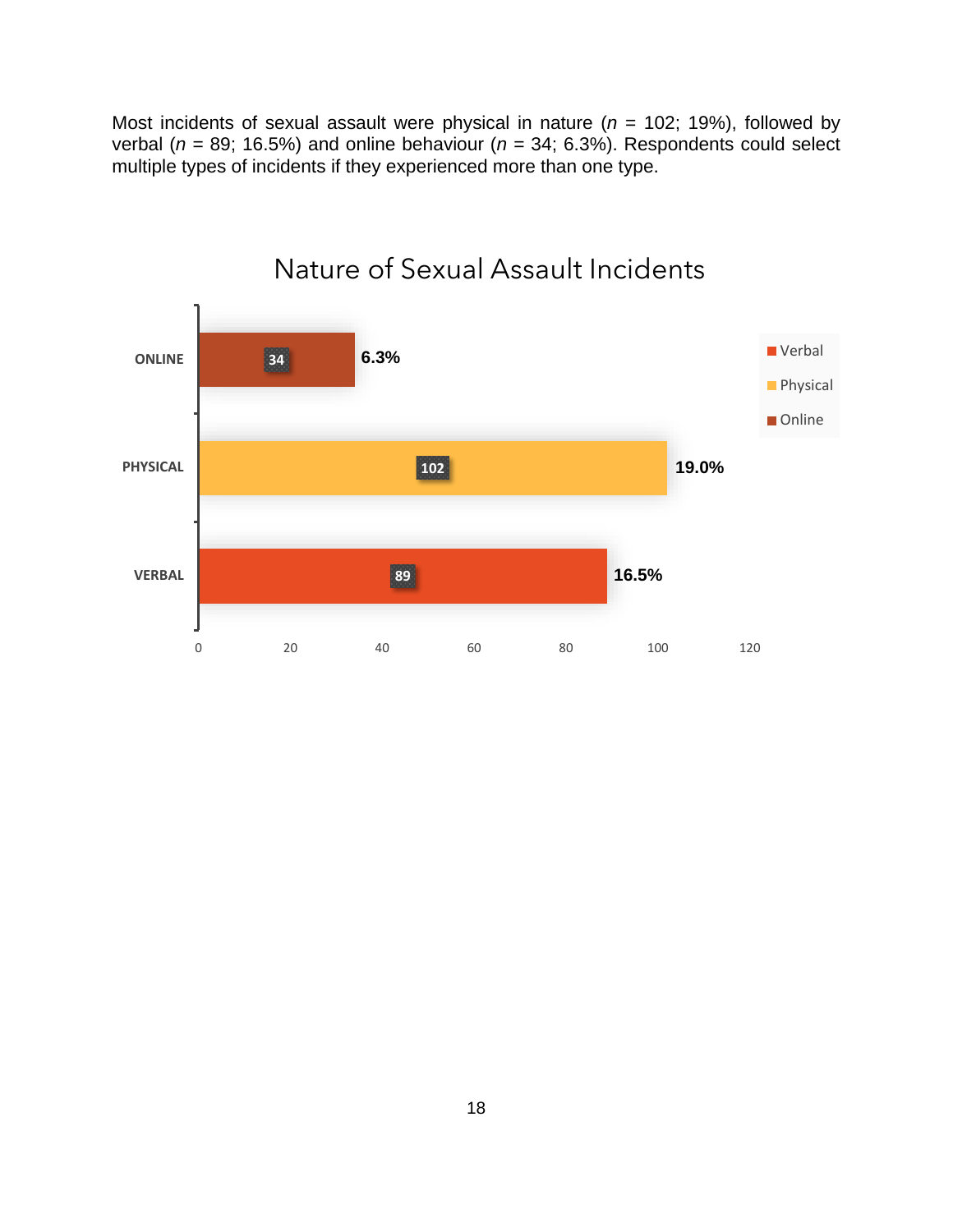Most incidents of sexual assault were physical in nature ( $n = 102$ ; 19%), followed by verbal ( $n = 89$ ; 16.5%) and online behaviour ( $n = 34$ ; 6.3%). Respondents could select multiple types of incidents if they experienced more than one type.



#### Nature of Sexual Assault Incidents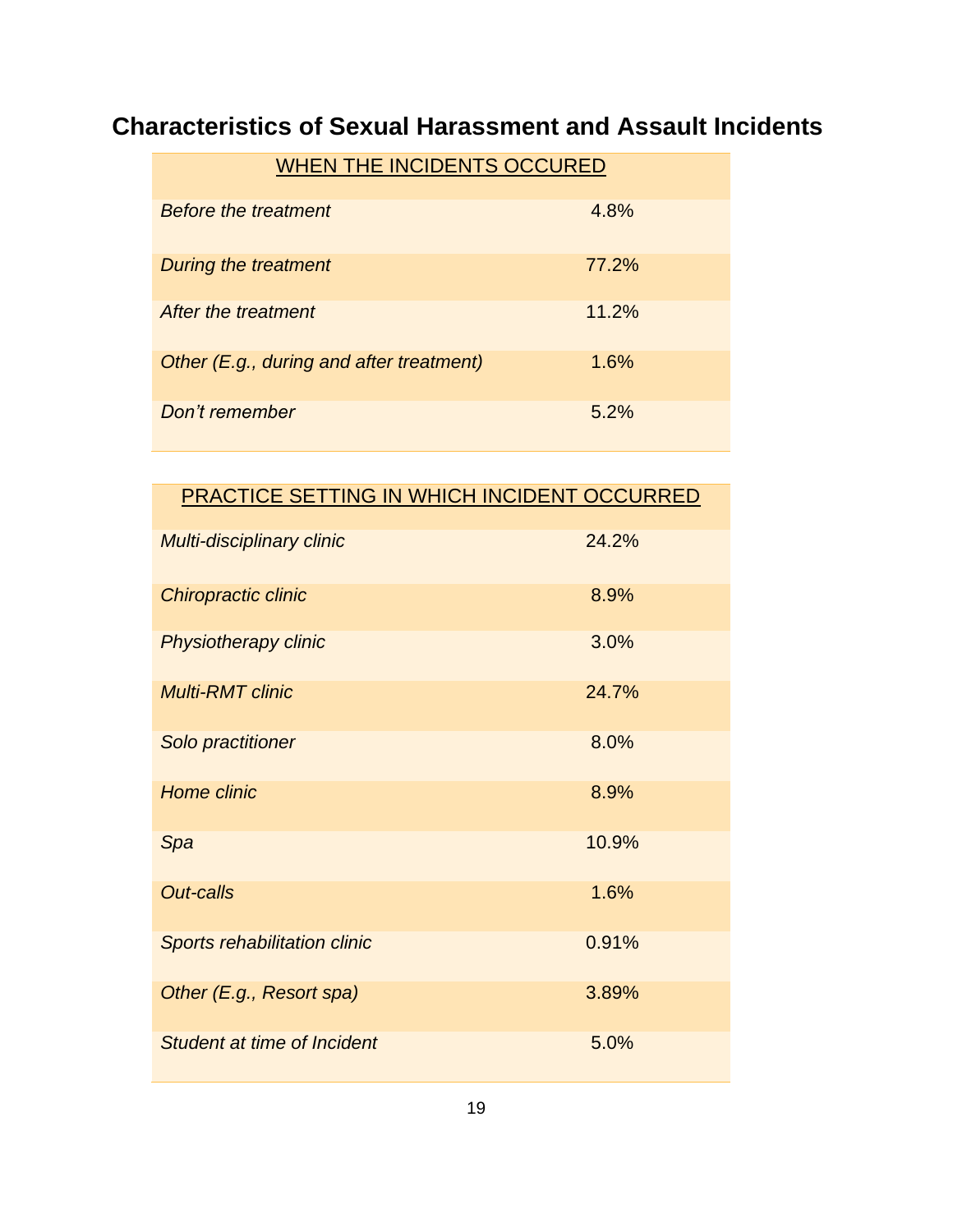#### **Characteristics of Sexual Harassment and Assault Incidents**

| <b>WHEN THE INCIDENTS OCCURED</b>        |       |  |  |
|------------------------------------------|-------|--|--|
| <b>Before the treatment</b>              | 4.8%  |  |  |
| During the treatment                     | 77.2% |  |  |
| After the treatment                      | 11.2% |  |  |
| Other (E.g., during and after treatment) | 1.6%  |  |  |
| Don't remember                           | 5.2%  |  |  |

| PRACTICE SETTING IN WHICH INCIDENT OCCURRED |       |
|---------------------------------------------|-------|
| Multi-disciplinary clinic                   | 24.2% |
| Chiropractic clinic                         | 8.9%  |
| <b>Physiotherapy clinic</b>                 | 3.0%  |
| <b>Multi-RMT clinic</b>                     | 24.7% |
| Solo practitioner                           | 8.0%  |
| <b>Home clinic</b>                          | 8.9%  |
| Spa                                         | 10.9% |
| <b>Out-calls</b>                            | 1.6%  |
| <b>Sports rehabilitation clinic</b>         | 0.91% |
| Other (E.g., Resort spa)                    | 3.89% |
| Student at time of Incident                 | 5.0%  |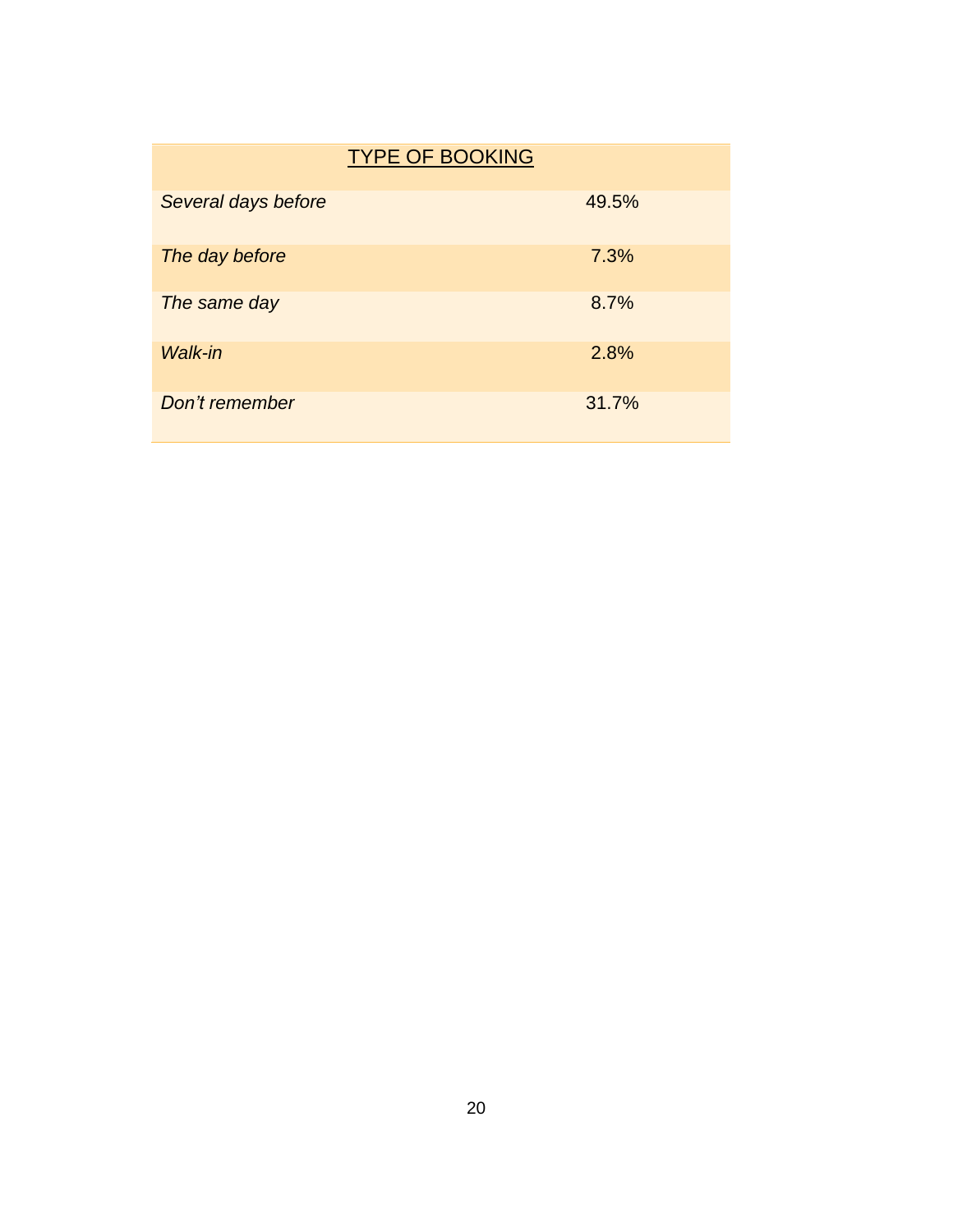|                     | <b>TYPE OF BOOKING</b> |       |
|---------------------|------------------------|-------|
| Several days before |                        | 49.5% |
| The day before      |                        | 7.3%  |
| The same day        |                        | 8.7%  |
| <b>Walk-in</b>      |                        | 2.8%  |
| Don't remember      |                        | 31.7% |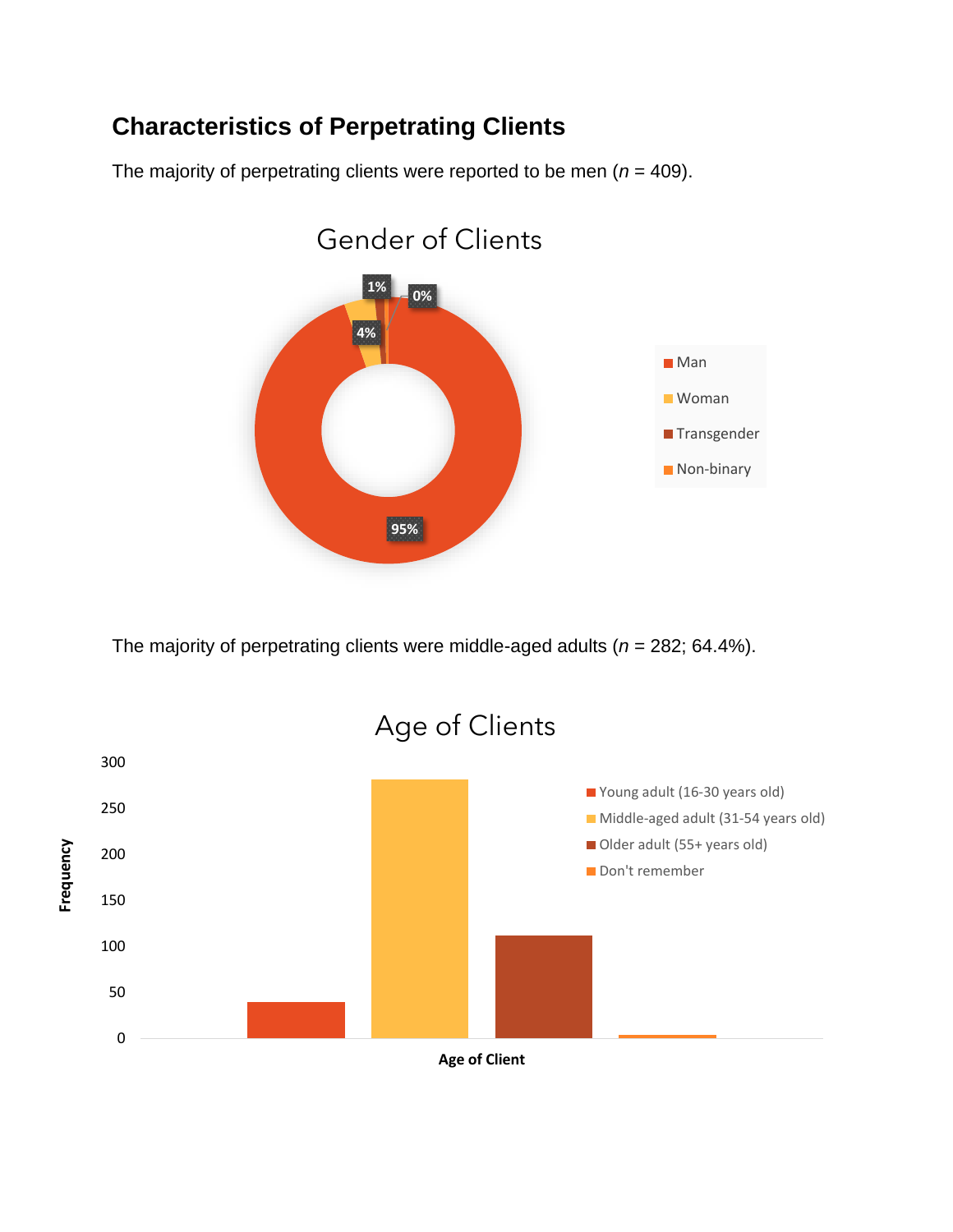#### **Characteristics of Perpetrating Clients**

The majority of perpetrating clients were reported to be men  $(n = 409)$ .



The majority of perpetrating clients were middle-aged adults (*n* = 282; 64.4%).

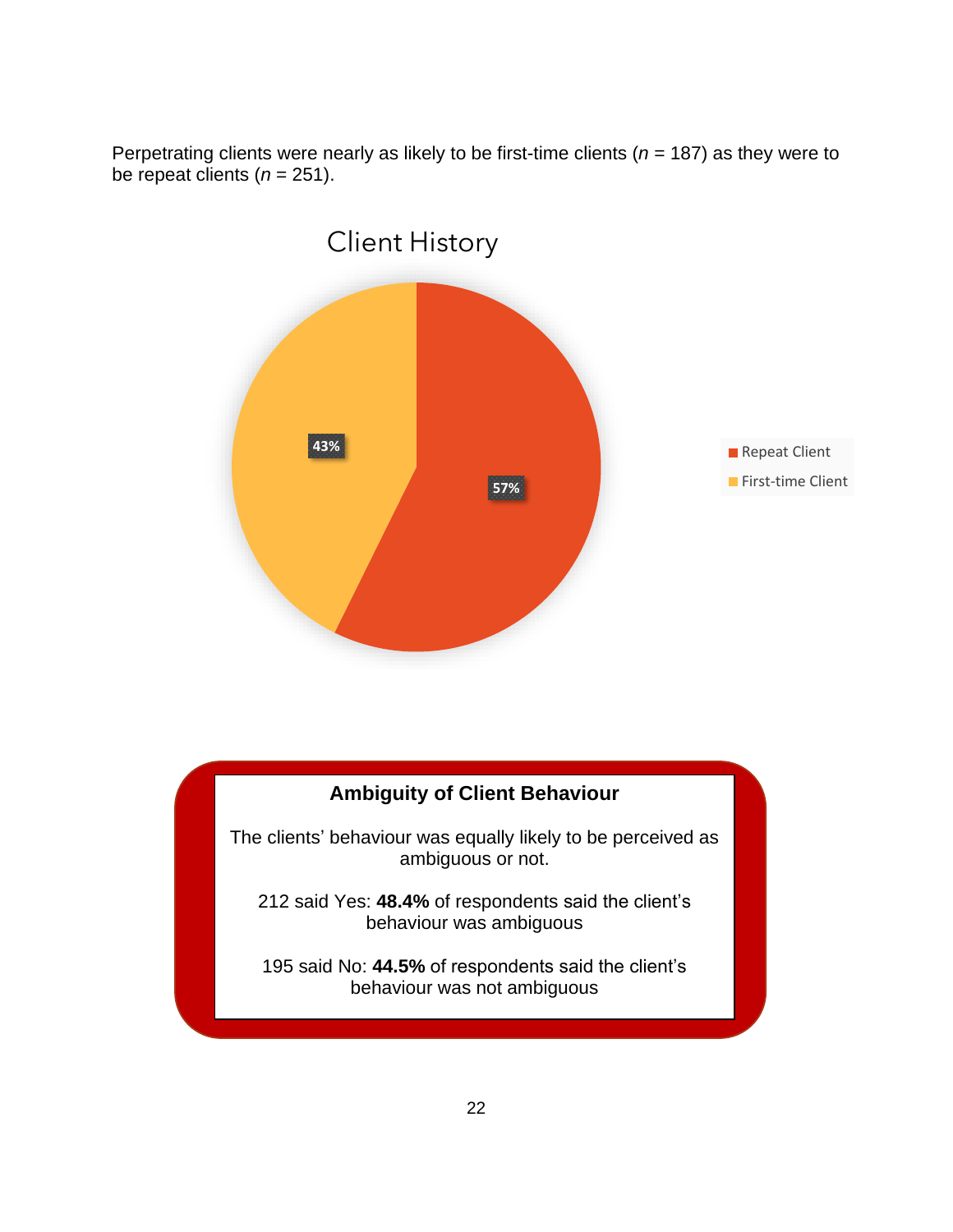Perpetrating clients were nearly as likely to be first-time clients (*n* = 187) as they were to be repeat clients  $(n = 251)$ .



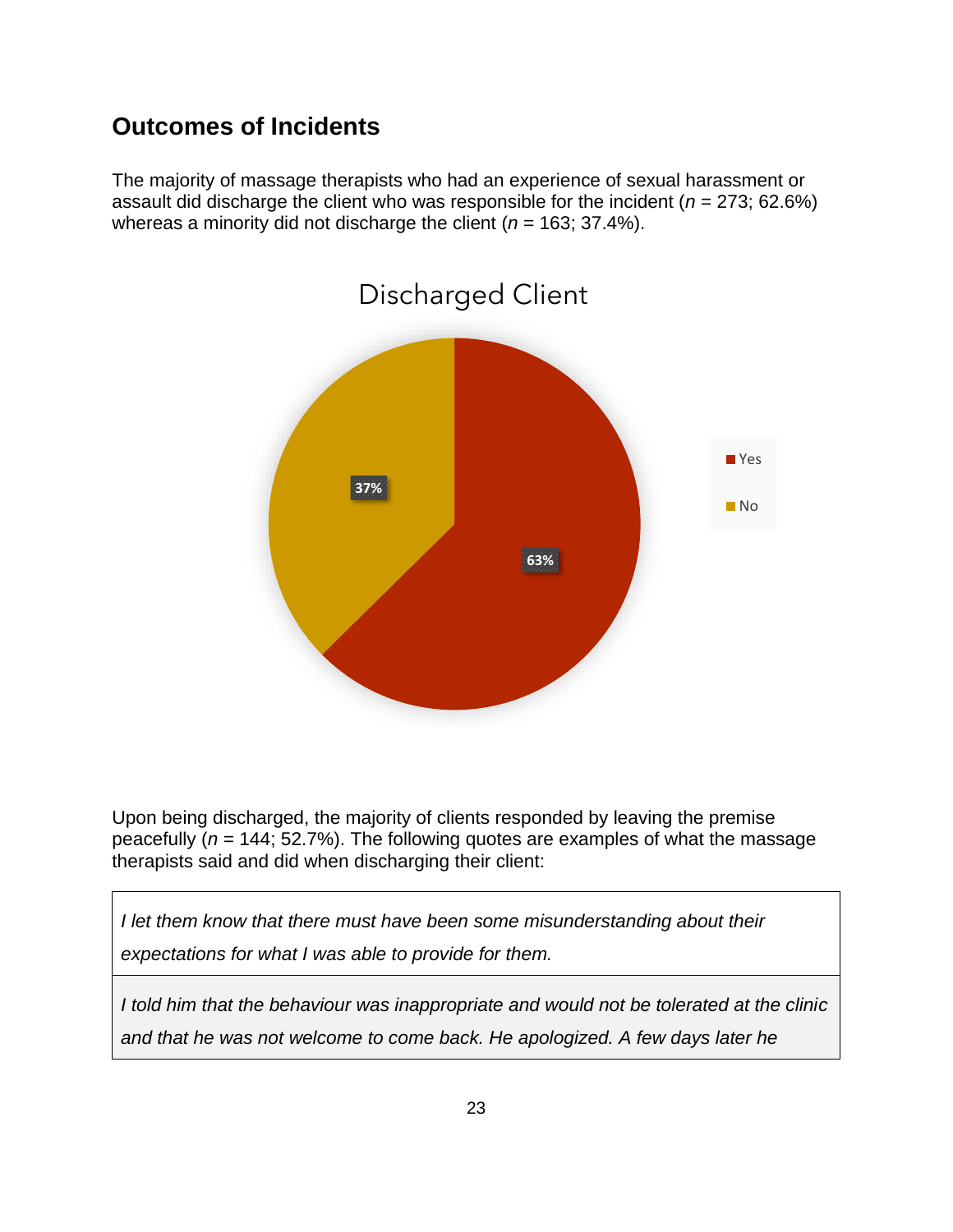#### **Outcomes of Incidents**

The majority of massage therapists who had an experience of sexual harassment or assault did discharge the client who was responsible for the incident (*n* = 273; 62.6%) whereas a minority did not discharge the client (*n* = 163; 37.4%).



Upon being discharged, the majority of clients responded by leaving the premise peacefully  $(n = 144; 52.7\%)$ . The following quotes are examples of what the massage therapists said and did when discharging their client:

*I let them know that there must have been some misunderstanding about their expectations for what I was able to provide for them.*

*I told him that the behaviour was inappropriate and would not be tolerated at the clinic and that he was not welcome to come back. He apologized. A few days later he*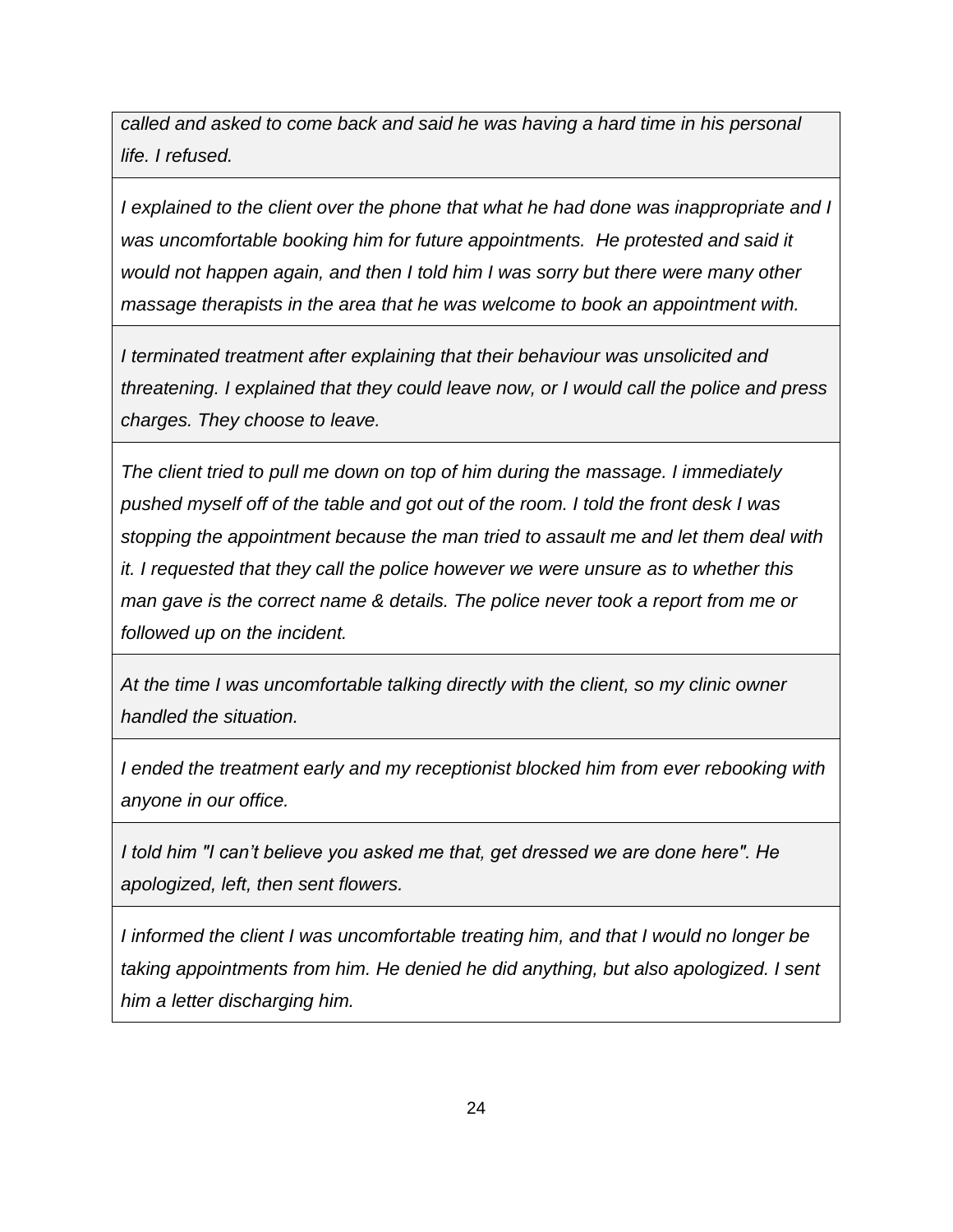*called and asked to come back and said he was having a hard time in his personal life. I refused.*

*I explained to the client over the phone that what he had done was inappropriate and I was uncomfortable booking him for future appointments. He protested and said it would not happen again, and then I told him I was sorry but there were many other massage therapists in the area that he was welcome to book an appointment with.*

*I terminated treatment after explaining that their behaviour was unsolicited and threatening. I explained that they could leave now, or I would call the police and press charges. They choose to leave.*

*The client tried to pull me down on top of him during the massage. I immediately pushed myself off of the table and got out of the room. I told the front desk I was stopping the appointment because the man tried to assault me and let them deal with it. I requested that they call the police however we were unsure as to whether this man gave is the correct name & details. The police never took a report from me or followed up on the incident.*

*At the time I was uncomfortable talking directly with the client, so my clinic owner handled the situation.*

*I ended the treatment early and my receptionist blocked him from ever rebooking with anyone in our office.*

*I told him "I can't believe you asked me that, get dressed we are done here". He apologized, left, then sent flowers.*

*I informed the client I was uncomfortable treating him, and that I would no longer be taking appointments from him. He denied he did anything, but also apologized. I sent him a letter discharging him.*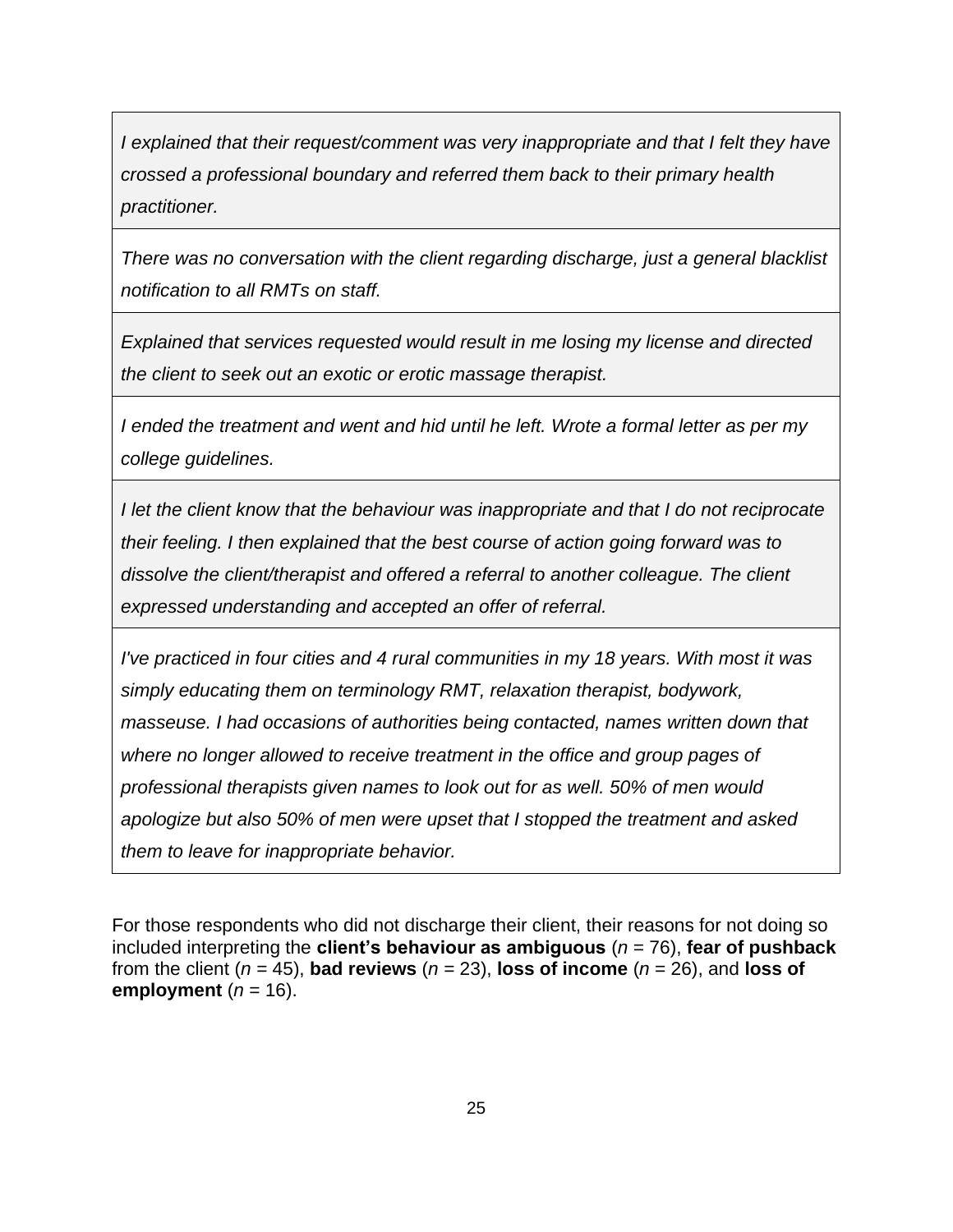*I explained that their request/comment was very inappropriate and that I felt they have crossed a professional boundary and referred them back to their primary health practitioner.*

*There was no conversation with the client regarding discharge, just a general blacklist notification to all RMTs on staff.*

*Explained that services requested would result in me losing my license and directed the client to seek out an exotic or erotic massage therapist.*

*I ended the treatment and went and hid until he left. Wrote a formal letter as per my college guidelines.*

*I let the client know that the behaviour was inappropriate and that I do not reciprocate their feeling. I then explained that the best course of action going forward was to dissolve the client/therapist and offered a referral to another colleague. The client expressed understanding and accepted an offer of referral.*

*I've practiced in four cities and 4 rural communities in my 18 years. With most it was simply educating them on terminology RMT, relaxation therapist, bodywork, masseuse. I had occasions of authorities being contacted, names written down that where no longer allowed to receive treatment in the office and group pages of professional therapists given names to look out for as well. 50% of men would apologize but also 50% of men were upset that I stopped the treatment and asked them to leave for inappropriate behavior.*

For those respondents who did not discharge their client, their reasons for not doing so included interpreting the **client's behaviour as ambiguous** (*n* = 76), **fear of pushback** from the client ( $n = 45$ ), **bad reviews** ( $n = 23$ ), **loss of income** ( $n = 26$ ), and **loss of employment**  $(n = 16)$ .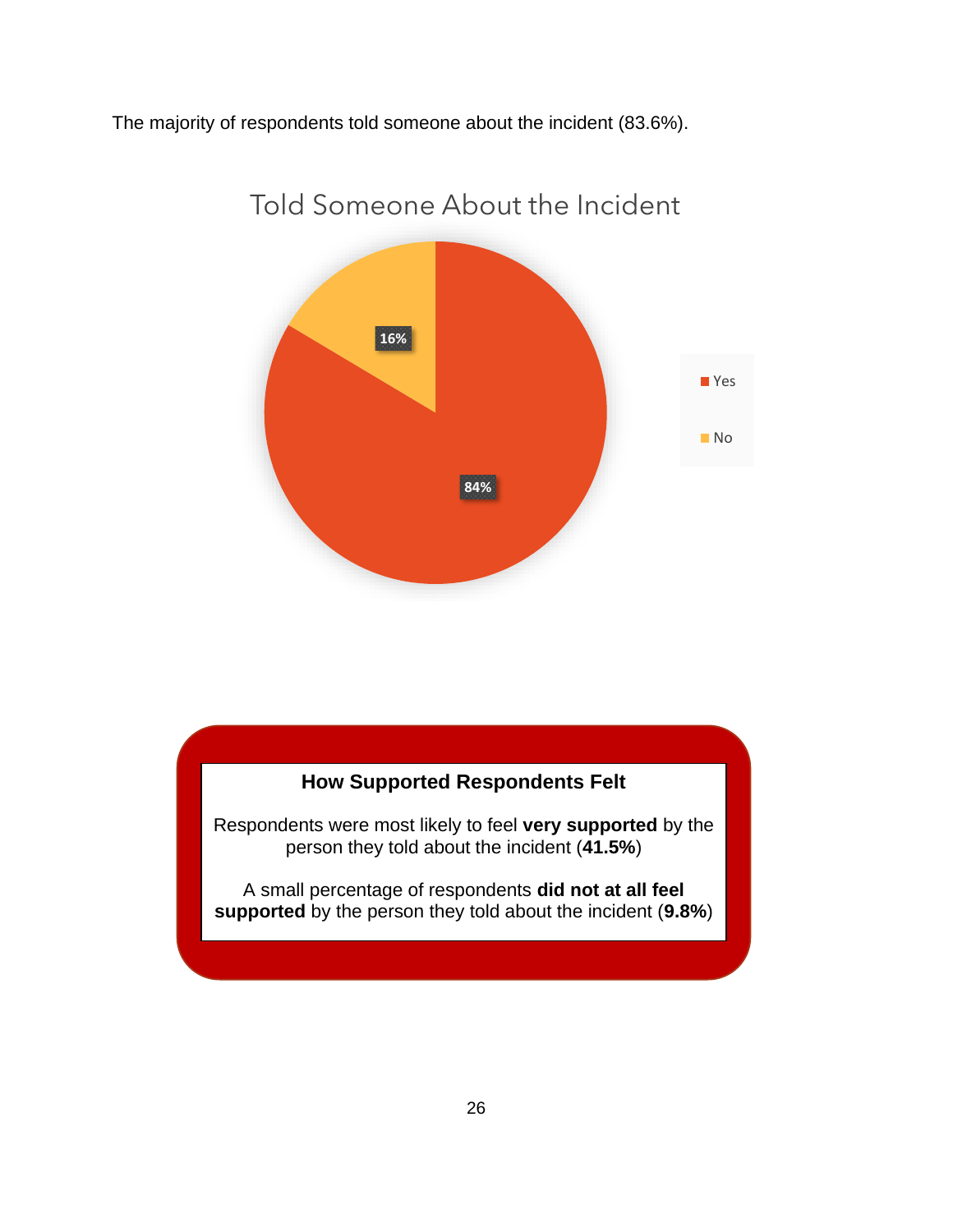The majority of respondents told someone about the incident (83.6%).



#### Told Someone About the Incident

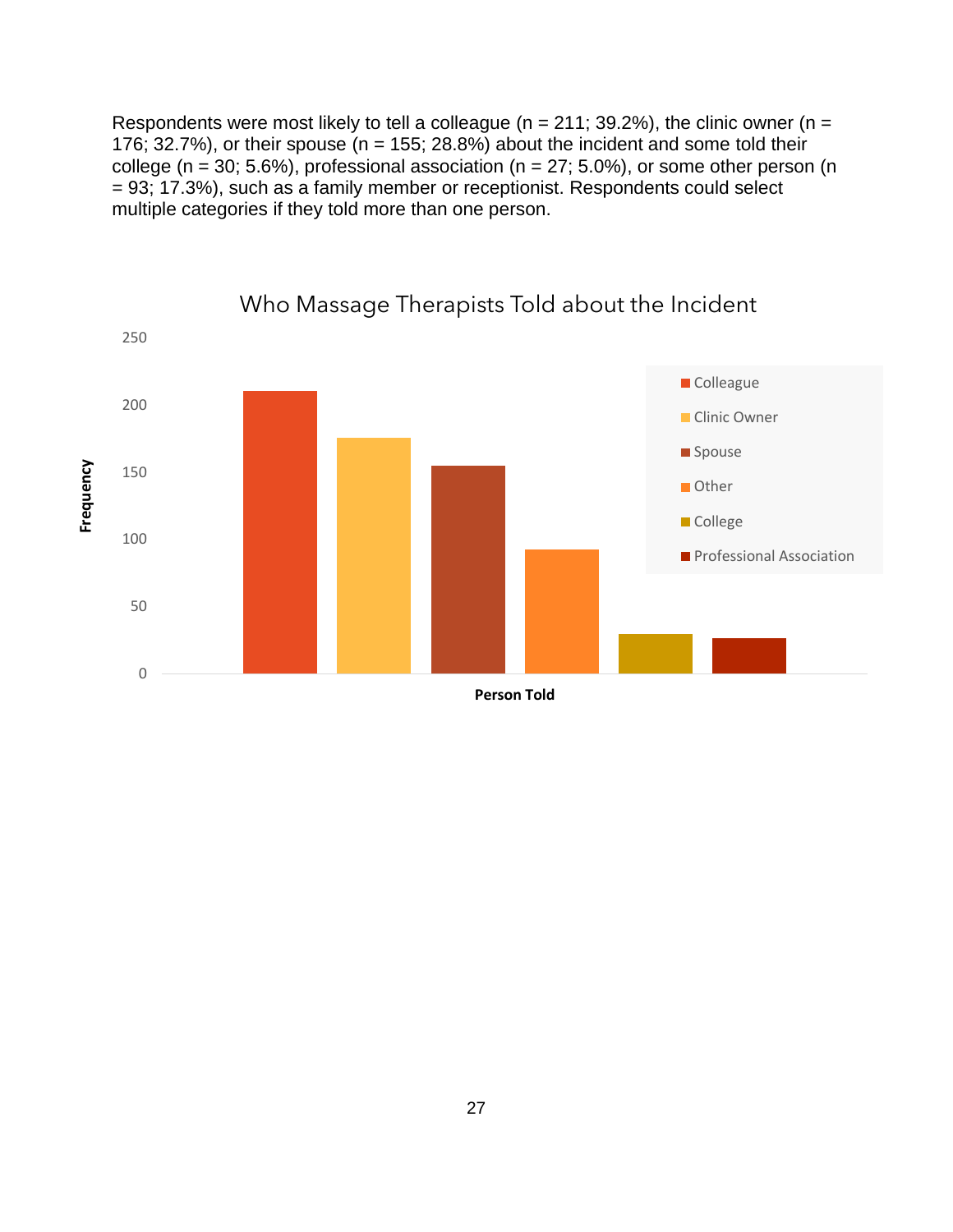Respondents were most likely to tell a colleague ( $n = 211$ ; 39.2%), the clinic owner ( $n =$ 176; 32.7%), or their spouse  $(n = 155; 28.8\%)$  about the incident and some told their college ( $n = 30$ ; 5.6%), professional association ( $n = 27$ ; 5.0%), or some other person (n = 93; 17.3%), such as a family member or receptionist. Respondents could select multiple categories if they told more than one person.

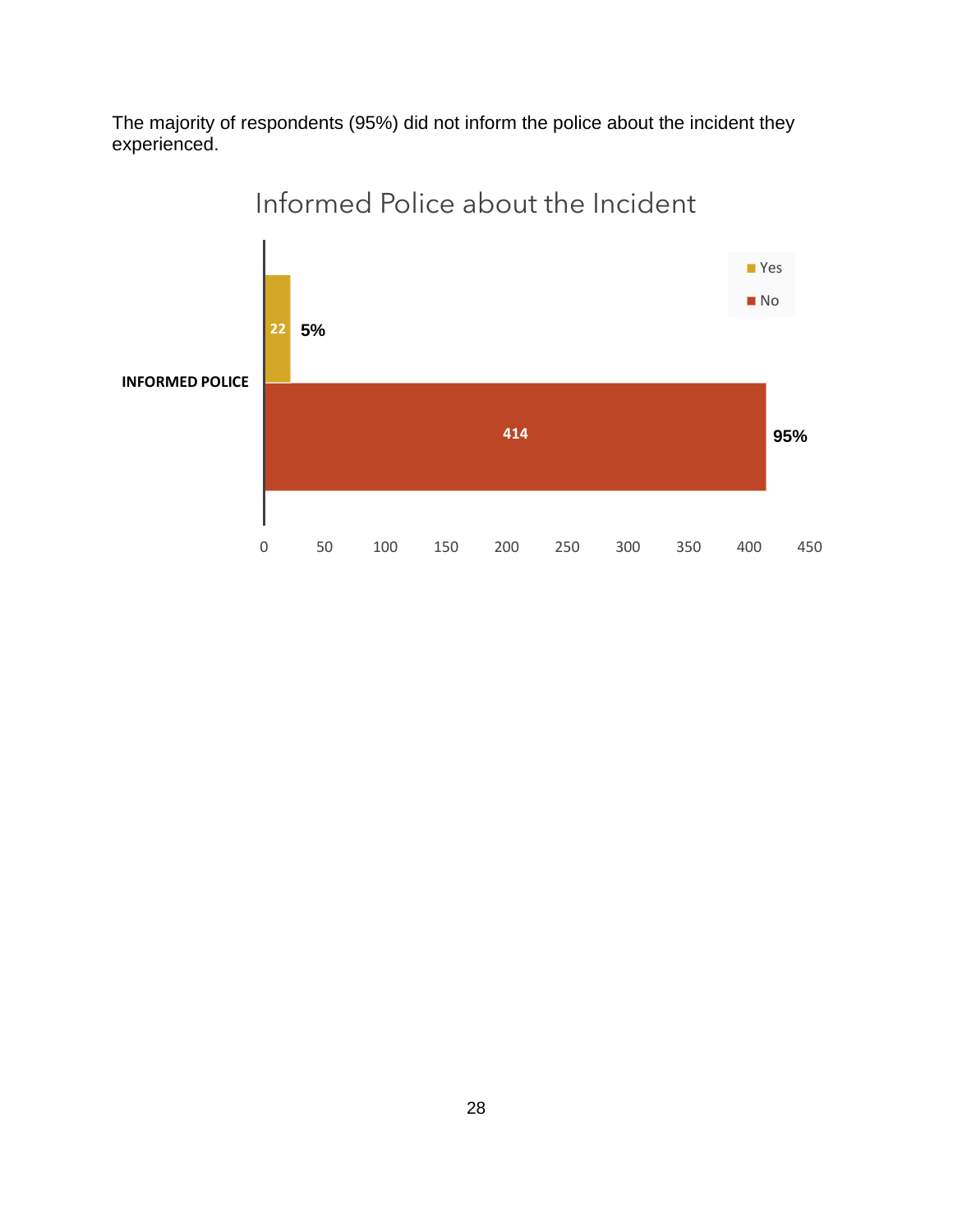The majority of respondents (95%) did not inform the police about the incident they experienced.



## Informed Police about the Incident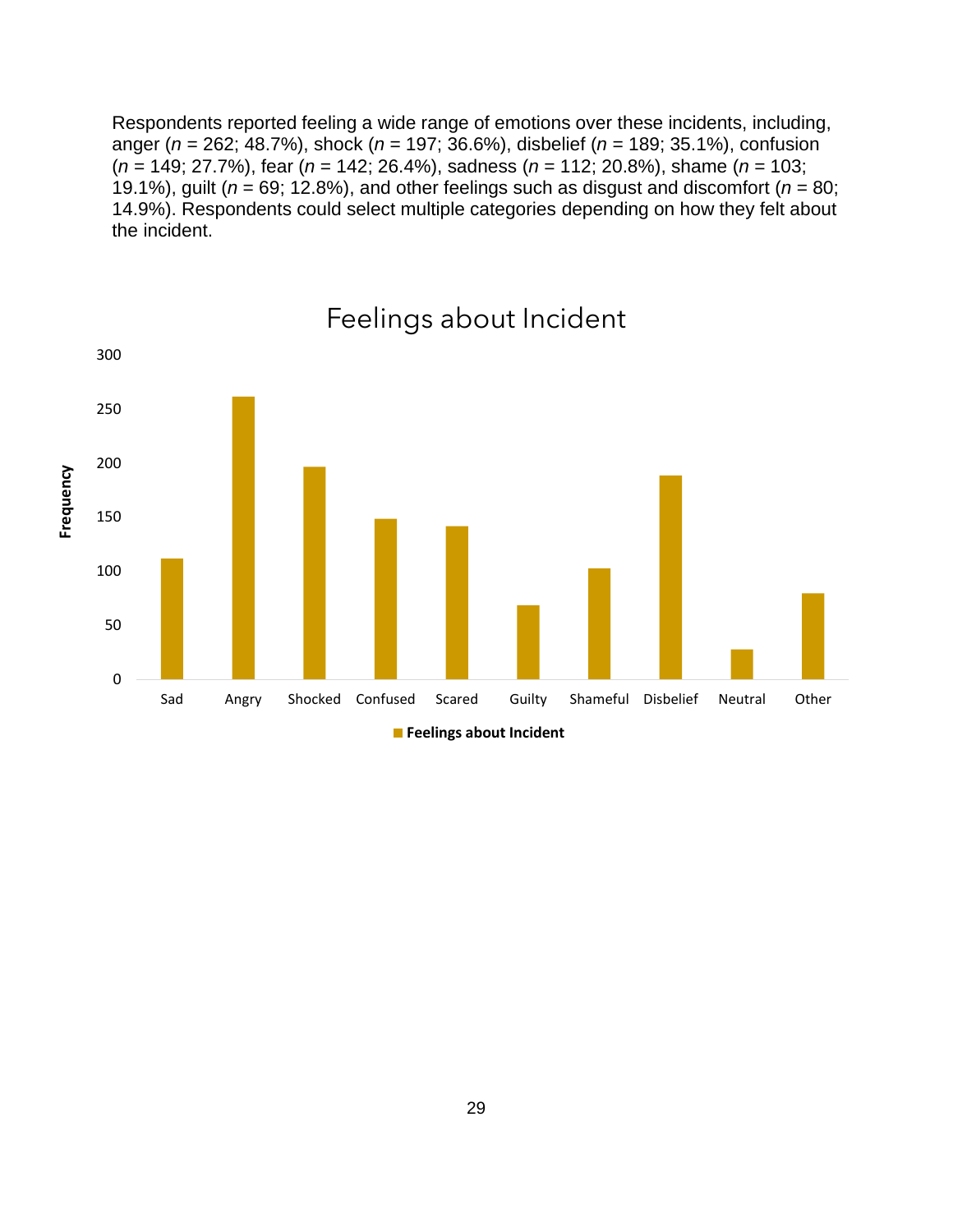Respondents reported feeling a wide range of emotions over these incidents, including, anger (*n* = 262; 48.7%), shock (*n* = 197; 36.6%), disbelief (*n* = 189; 35.1%), confusion (*n* = 149; 27.7%), fear (*n* = 142; 26.4%), sadness (*n* = 112; 20.8%), shame (*n* = 103; 19.1%), guilt ( $n = 69$ ; 12.8%), and other feelings such as disgust and discomfort ( $n = 80$ ; 14.9%). Respondents could select multiple categories depending on how they felt about the incident.



Feelings about Incident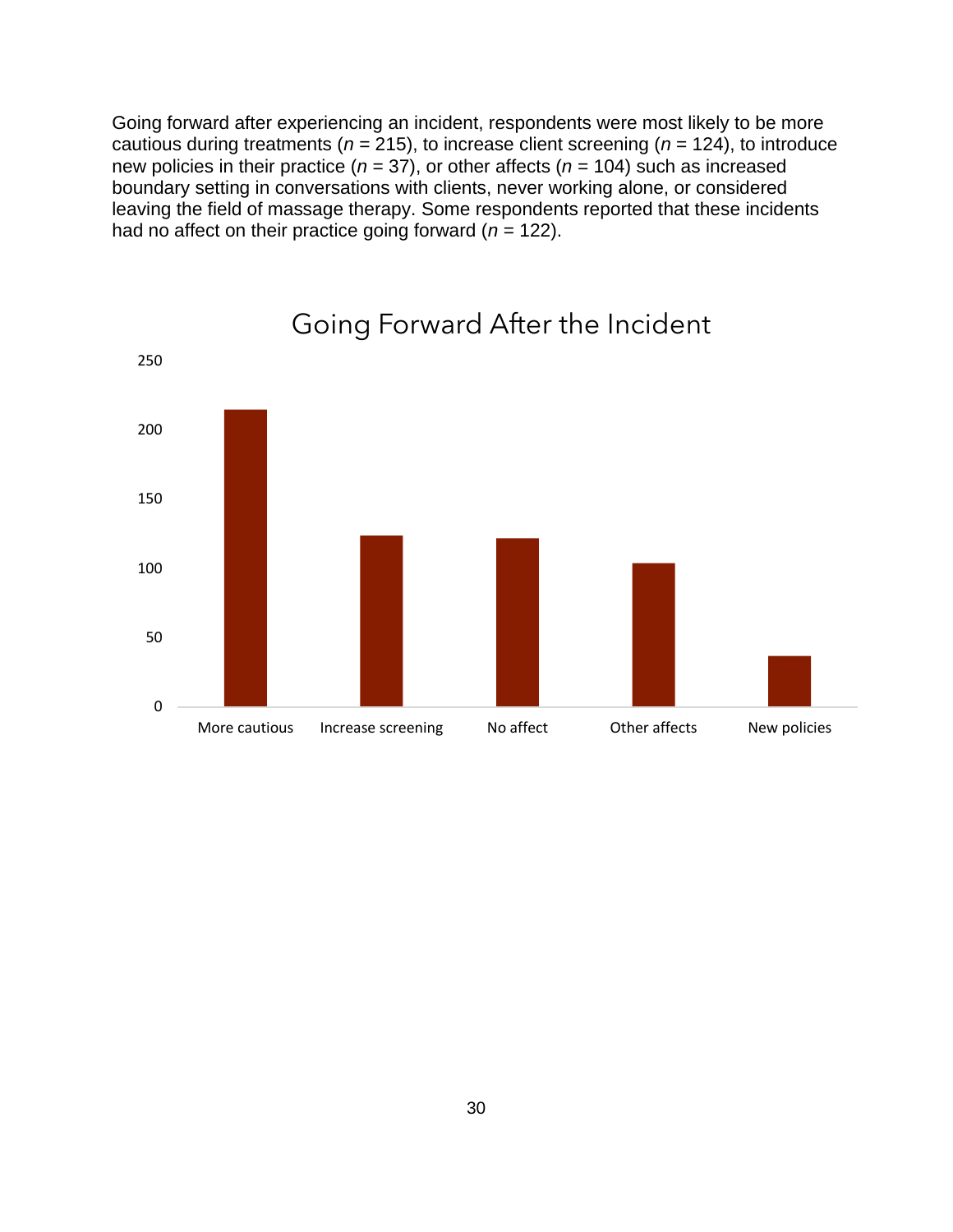Going forward after experiencing an incident, respondents were most likely to be more cautious during treatments ( $n = 215$ ), to increase client screening ( $n = 124$ ), to introduce new policies in their practice (*n* = 37), or other affects (*n* = 104) such as increased boundary setting in conversations with clients, never working alone, or considered leaving the field of massage therapy. Some respondents reported that these incidents had no affect on their practice going forward (*n* = 122).



Going Forward After the Incident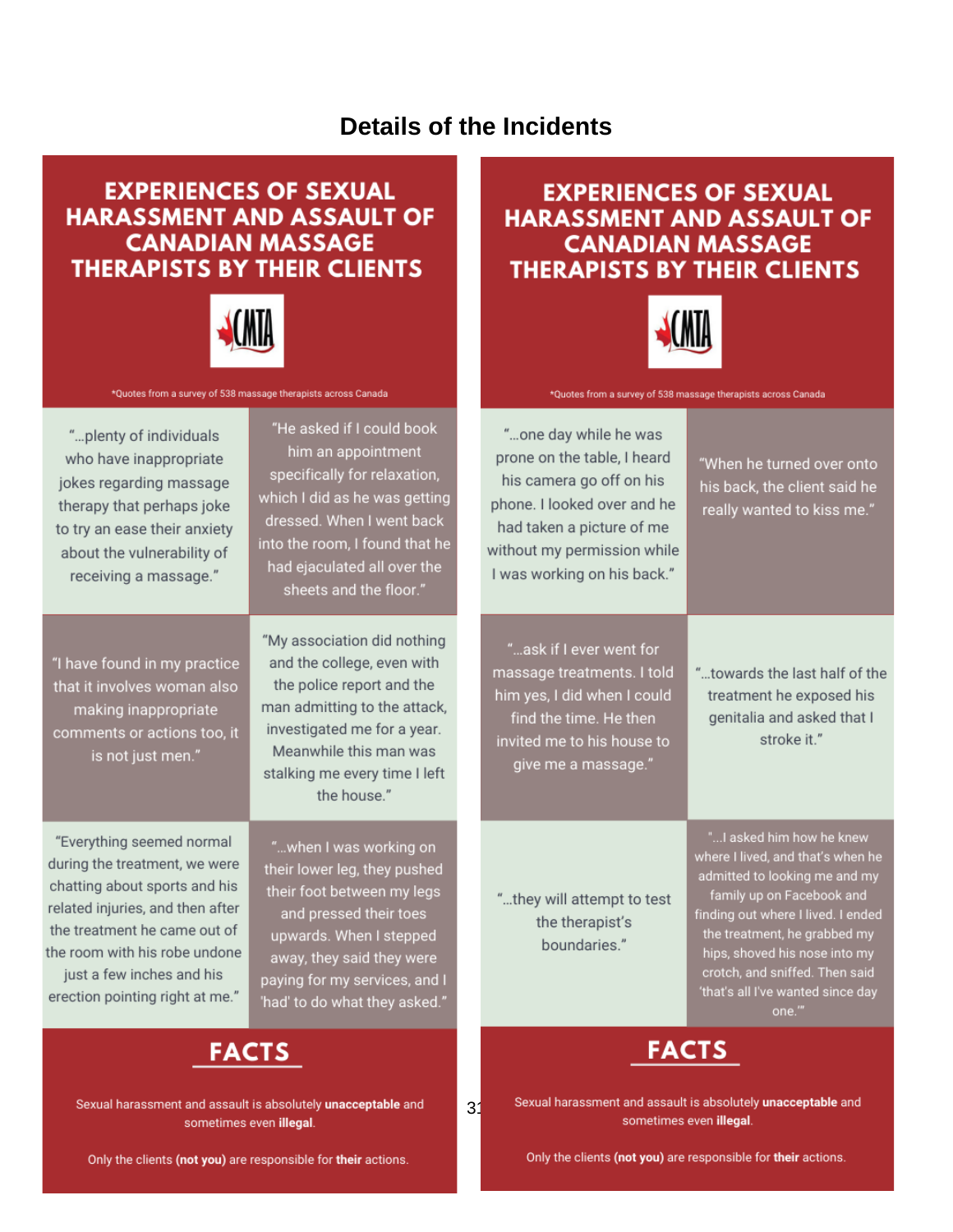#### **Details of the Incidents**

#### **EXPERIENCES OF SEXUAL HARASSMENT AND ASSAULT OF CANADIAN MASSAGE THERAPISTS BY THEIR CLIENTS**



\*Quotes from a survey of 538 massage therapists across Canada

"...plenty of individuals who have inappropriate jokes regarding massage therapy that perhaps joke to try an ease their anxiety about the vulnerability of receiving a massage."

"I have found in my practice that it involves woman also making inappropriate comments or actions too, it is not just men."

"Everything seemed normal during the treatment, we were chatting about sports and his related injuries, and then after the treatment he came out of the room with his robe undone just a few inches and his erection pointing right at me."

"He asked if I could book him an appointment specifically for relaxation, which I did as he was getting dressed. When I went back into the room, I found that he had ejaculated all over the sheets and the floor."

"My association did nothing and the college, even with the police report and the man admitting to the attack, investigated me for a year. Meanwhile this man was stalking me every time I left the house."

"...when I was working on their lower leg, they pushed their foot between my legs and pressed their toes upwards. When I stepped away, they said they were paying for my services, and I 'had' to do what they asked."

### **FACTS**

Sexual harassment and assault is absolutely unacceptable and sometimes even illegal.

Only the clients (not you) are responsible for their actions.

#### **EXPERIENCES OF SEXUAL HARASSMENT AND ASSAULT OF CANADIAN MASSAGE THERAPISTS BY THEIR CLIENTS**



\*Quotes from a survey of 538 massage therapists across Canada

"...one day while he was prone on the table, I heard his camera go off on his phone. I looked over and he had taken a picture of me without my permission while I was working on his back."

"When he turned over onto his back, the client said he really wanted to kiss me."

"...ask if I ever went for massage treatments. I told him yes, I did when I could find the time. He then invited me to his house to give me a massage."

"...towards the last half of the treatment he exposed his genitalia and asked that I stroke it."

"...they will attempt to test the therapist's boundaries."

31

"... I asked him how he knew where I lived, and that's when he admitted to looking me and my family up on Facebook and finding out where I lived. I ended the treatment, he grabbed my hips, shoved his nose into my crotch, and sniffed. Then said 'that's all I've wanted since day one."



Sexual harassment and assault is absolutely unacceptable and sometimes even illegal.

Only the clients (not you) are responsible for their actions.